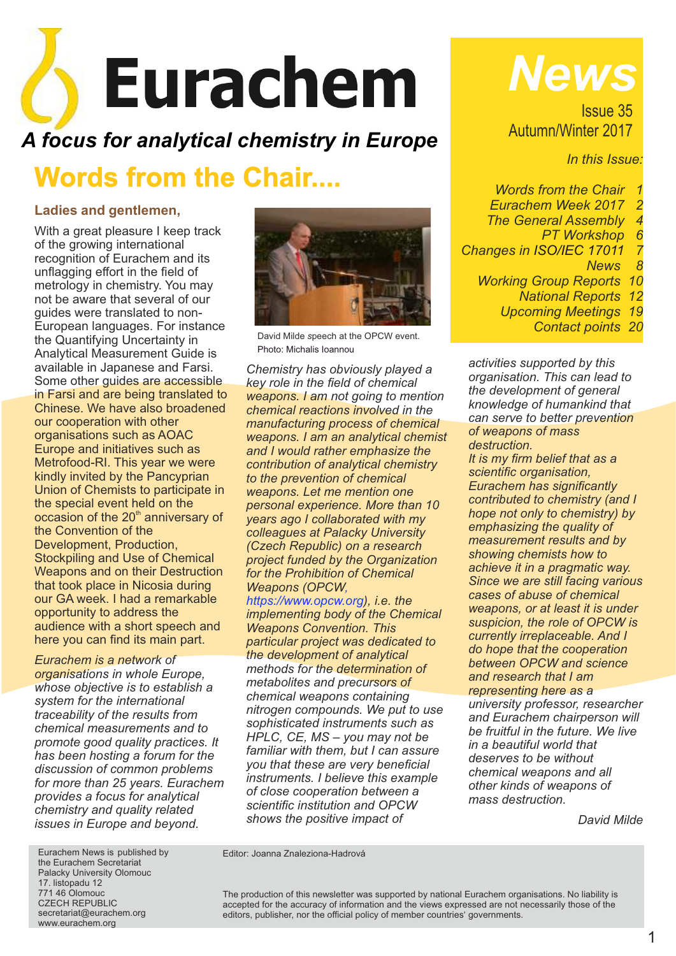# Eurachem

# *A focus for analytical chemistry in Europe*

# **Words from the Chair....**

## **Ladies and gentlemen,**

With a great pleasure I keep track of the growing international recognition of Eurachem and its unflagging effort in the field of metrology in chemistry. You may not be aware that several of our guides were translated to non-European languages. For instance the Quantifying Uncertainty in Analytical Measurement Guide is available in Japanese and Farsi. Some other guides are accessible in Farsi and are being translated to Chinese. We have also broadened our cooperation with other organisations such as AOAC Europe and initiatives such as Metrofood-RI. This year we were kindly invited by the Pancyprian Union of Chemists to participate in the special event held on the occasion of the  $20<sup>th</sup>$  anniversary of the Convention of the Development, Production, Stockpiling and Use of Chemical Weapons and on their Destruction that took place in Nicosia during our GA week. I had a remarkable opportunity to address the audience with a short speech and here you can find its main part.

*Eurachem is a network of organisations in whole Europe, whose objective is to establish a system for the international traceability of the results from chemical measurements and to promote good quality practices. It has been hosting a forum for the discussion of common problems for more than 25 years. Eurachem provides a focus for analytical chemistry and quality related issues in Europe and beyond.*



David Milde *s*peech at the OPCW event. Photo: Michalis Ioannou

*Chemistry has obviously played a key role in the field of chemical weapons. I am not going to mention chemical reactions involved in the manufacturing process of chemical weapons. I am an analytical chemist and I would rather emphasize the contribution of analytical chemistry to the prevention of chemical weapons. Let me mention one personal experience. More than 10 years ago I collaborated with my colleagues at Palacky University (Czech Republic) on a research project funded by the Organization for the Prohibition of Chemical Weapons (OPCW,* 

*https://www.opcw.org), i.e. the implementing body of the Chemical Weapons Convention. This particular project was dedicated to the development of analytical methods for the determination of metabolites and precursors of chemical weapons containing nitrogen compounds. We put to use sophisticated instruments such as HPLC, CE, MS – you may not be familiar with them, but I can assure you that these are very beneficial instruments. I believe this example of close cooperation between a scientific institution and OPCW shows the positive impact of* 

*News*

Issue 35 Autumn/Winter 2017

*In this Issue:*

*Words from the Chair Eurachem Week 2017 2 The General Assembly PT Workshop 6 Changes in ISO/IEC 17011 7 News 8 Working Group Reports 10 National Reports 12 Upcoming Meetings 19*

*Contact points 20*

*activities supported by this organisation. This can lead to the development of general knowledge of humankind that can serve to better prevention of weapons of mass destruction.*

*It is my firm belief that as a scientific organisation, Eurachem has significantly contributed to chemistry (and I hope not only to chemistry) by emphasizing the quality of measurement results and by showing chemists how to achieve it in a pragmatic way. Since we are still facing various cases of abuse of chemical weapons, or at least it is under suspicion, the role of OPCW is currently irreplaceable. And I do hope that the cooperation between OPCW and science and research that I am representing here as a* 

*university professor, researcher and Eurachem chairperson will be fruitful in the future. We live in a beautiful world that deserves to be without chemical weapons and all other kinds of weapons of mass destruction.*

*David Milde*

Eurachem News is published by the Eurachem Secretariat Palacky University Olomouc 17. listopadu 12 771 46 Olomouc CZECH REPUBLIC secretariat@eurachem.org www.eurachem.org

Editor: Joanna Znaleziona-Hadrová

The production of this newsletter was supported by national Eurachem organisations. No liability is accepted for the accuracy of information and the views expressed are not necessarily those of the editors, publisher, nor the official policy of member countries' governments.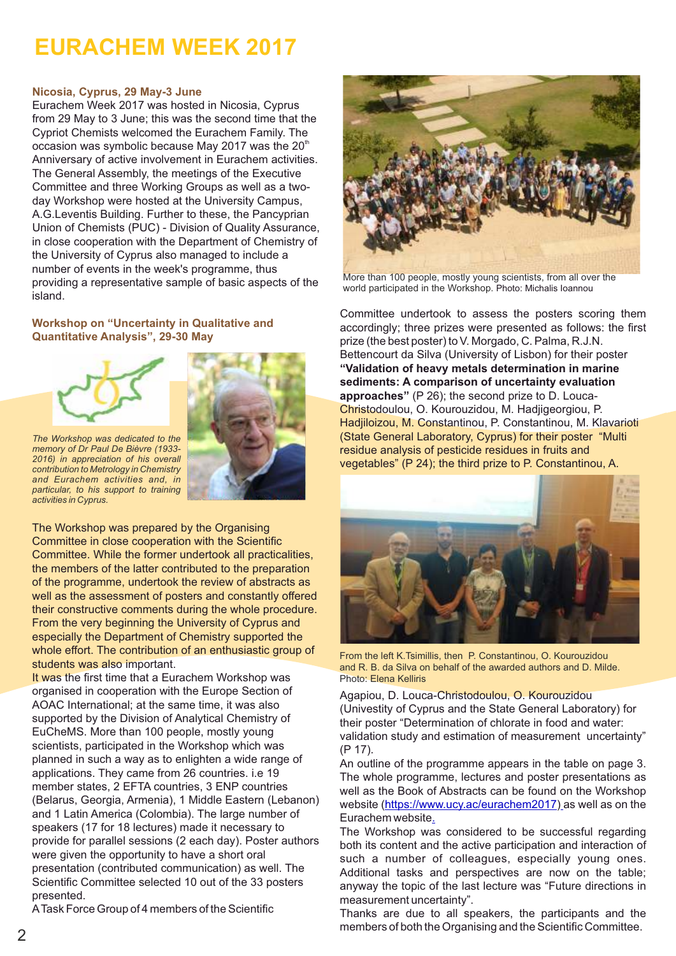# **EURACHEM WEEK 2017**

#### **Nicosia, Cyprus, 29 May-3 June**

Eurachem Week 2017 was hosted in Nicosia, Cyprus from 29 May to 3 June; this was the second time that the Cypriot Chemists welcomed the Eurachem Family. The occasion was symbolic because May 2017 was the  $20<sup>th</sup>$ Anniversary of active involvement in Eurachem activities. The General Assembly, the meetings of the Executive Committee and three Working Groups as well as a twoday Workshop were hosted at the University Campus, A.G.Leventis Building. Further to these, the Pancyprian Union of Chemists (PUC) - Division of Quality Assurance, in close cooperation with the Department of Chemistry of the University of Cyprus also managed to include a number of events in the week's programme, thus providing a representative sample of basic aspects of the island.

#### **Workshop on "Uncertainty in Qualitative and Quantitative Analysis", 29-30 Μay**



*The Workshop was dedicated to the memory of Dr Paul De Bièvre (1933- 2016) in appreciation of his overall contribution to Metrology in Chemistry and Eurachem activities and, in particular, to his support to training activities in Cyprus.*

The Workshop was prepared by the Organising Committee in close cooperation with the Scientific Committee. While the former undertook all practicalities, the members of the latter contributed to the preparation of the programme, undertook the review of abstracts as well as the assessment of posters and constantly offered their constructive comments during the whole procedure. From the very beginning the University of Cyprus and especially the Department of Chemistry supported the whole effort. The contribution of an enthusiastic group of students was also important.

It was the first time that a Eurachem Workshop was organised in cooperation with the Europe Section of AOAC International; at the same time, it was also supported by the Division of Analytical Chemistry of EuCheMS. More than 100 people, mostly young scientists, participated in the Workshop which was planned in such a way as to enlighten a wide range of applications. They came from 26 countries. i.e 19 member states, 2 EFTA countries, 3 ENP countries (B[elarus, Georgia, Armenia\), 1 Middle E](https://www.ucy.ac/eurachem2017)astern (Lebanon) and 1 Latin [A](https://www.ucy.ac/eurachem2017)merica (Colombia). The large number of speakers (17 for 18 lectures) made it necessary to provide for parallel sessions (2 each day). Poster authors were given the opportunity to have a short oral presentation (contributed communication) as well. The Scientific Committee selected 10 out of the 33 posters presented.



Bettencourt da Silva (University of Lisbon) for their poster **"Validation of heavy metals determination in marine sediments: A comparison of uncertainty evaluation approaches"** (P 26); the second prize to D. Louca-Christodoulou, O. Kourouzidou, M. Hadjigeorgiou, P. Hadjiloizou, M. Constantinou, P. Constantinou, M. Klavarioti (State General Laboratory, Cyprus) for their poster "Multi residue analysis of pesticide residues in fruits and vegetables" (P 24); the third prize to P. Constantinou, A.



From the left K.Tsimillis, then P. Constantinou, O. Kourouzidou and R. B. da Silva on behalf of the awarded authors and D. Milde. Photo: Elena Kelliris

Agapiou, D. Louca-Christodoulou, O. Kourouzidou (Univestity of Cyprus and the State General Laboratory) for their poster "Determination of chlorate in food and water: validation study and estimation of measurement uncertainty" (P 17).

An outline of the programme appears in the table on page 3. The whole programme, lectures and poster presentations as well as the Book of Abstracts can be found on the Workshop website (https://www.ucy.ac/eurachem2017) as well as on the Eurachem website.

The Workshop was considered to be successful regarding both its content and the active participation and interaction of such a number of colleagues, especially young ones. Additional tasks and perspectives are now on the table; anyway the topic of the last lecture was "Future directions in measurement uncertainty".

Thanks are due to all speakers, the participants and the members of both the Organising and the Scientific Committee.

ATask Force Group of 4 members of the Scientific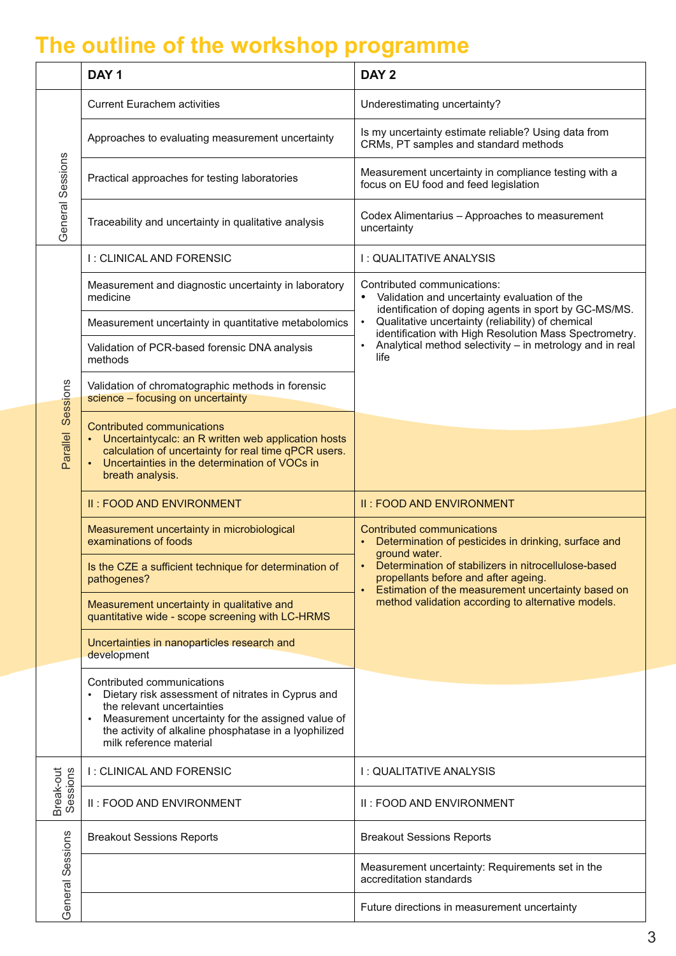# **The outline of the workshop programme**

|                       | DAY <sub>1</sub>                                                                                                                                                                                                                                       | DAY <sub>2</sub>                                                                                                                                                                                                                                                                                                                     |
|-----------------------|--------------------------------------------------------------------------------------------------------------------------------------------------------------------------------------------------------------------------------------------------------|--------------------------------------------------------------------------------------------------------------------------------------------------------------------------------------------------------------------------------------------------------------------------------------------------------------------------------------|
| General Sessions      | <b>Current Eurachem activities</b>                                                                                                                                                                                                                     | Underestimating uncertainty?                                                                                                                                                                                                                                                                                                         |
|                       | Approaches to evaluating measurement uncertainty                                                                                                                                                                                                       | Is my uncertainty estimate reliable? Using data from<br>CRMs, PT samples and standard methods                                                                                                                                                                                                                                        |
|                       | Practical approaches for testing laboratories                                                                                                                                                                                                          | Measurement uncertainty in compliance testing with a<br>focus on EU food and feed legislation                                                                                                                                                                                                                                        |
|                       | Traceability and uncertainty in qualitative analysis                                                                                                                                                                                                   | Codex Alimentarius - Approaches to measurement<br>uncertainty                                                                                                                                                                                                                                                                        |
| Sessions<br>Parallel  | I: CLINICAL AND FORENSIC                                                                                                                                                                                                                               | I: QUALITATIVE ANALYSIS                                                                                                                                                                                                                                                                                                              |
|                       | Measurement and diagnostic uncertainty in laboratory<br>medicine                                                                                                                                                                                       | Contributed communications:<br>Validation and uncertainty evaluation of the<br>identification of doping agents in sport by GC-MS/MS.<br>Qualitative uncertainty (reliability) of chemical<br>$\bullet$<br>identification with High Resolution Mass Spectrometry.<br>Analytical method selectivity - in metrology and in real<br>life |
|                       | Measurement uncertainty in quantitative metabolomics                                                                                                                                                                                                   |                                                                                                                                                                                                                                                                                                                                      |
|                       | Validation of PCR-based forensic DNA analysis<br>methods                                                                                                                                                                                               |                                                                                                                                                                                                                                                                                                                                      |
|                       | Validation of chromatographic methods in forensic<br>science - focusing on uncertainty                                                                                                                                                                 |                                                                                                                                                                                                                                                                                                                                      |
|                       | <b>Contributed communications</b><br>Uncertaintycalc: an R written web application hosts<br>calculation of uncertainty for real time qPCR users.<br>Uncertainties in the determination of VOCs in<br>breath analysis.                                  |                                                                                                                                                                                                                                                                                                                                      |
|                       | II: FOOD AND ENVIRONMENT                                                                                                                                                                                                                               | II: FOOD AND ENVIRONMENT                                                                                                                                                                                                                                                                                                             |
|                       | Measurement uncertainty in microbiological<br>examinations of foods                                                                                                                                                                                    | <b>Contributed communications</b><br>Determination of pesticides in drinking, surface and<br>ground water.<br>Determination of stabilizers in nitrocellulose-based<br>propellants before and after ageing.<br>Estimation of the measurement uncertainty based on<br>$\bullet$<br>method validation according to alternative models.  |
|                       | Is the CZE a sufficient technique for determination of<br>pathogenes?                                                                                                                                                                                  |                                                                                                                                                                                                                                                                                                                                      |
|                       | Measurement uncertainty in qualitative and<br>quantitative wide - scope screening with LC-HRMS                                                                                                                                                         |                                                                                                                                                                                                                                                                                                                                      |
|                       | Uncertainties in nanoparticles research and<br>development                                                                                                                                                                                             |                                                                                                                                                                                                                                                                                                                                      |
|                       | Contributed communications<br>Dietary risk assessment of nitrates in Cyprus and<br>the relevant uncertainties<br>Measurement uncertainty for the assigned value of<br>the activity of alkaline phosphatase in a lyophilized<br>milk reference material |                                                                                                                                                                                                                                                                                                                                      |
| Break-out<br>Sessions | I: CLINICAL AND FORENSIC                                                                                                                                                                                                                               | I: QUALITATIVE ANALYSIS                                                                                                                                                                                                                                                                                                              |
|                       | II: FOOD AND ENVIRONMENT                                                                                                                                                                                                                               | II: FOOD AND ENVIRONMENT                                                                                                                                                                                                                                                                                                             |
| Sessions<br>General   | <b>Breakout Sessions Reports</b>                                                                                                                                                                                                                       | <b>Breakout Sessions Reports</b>                                                                                                                                                                                                                                                                                                     |
|                       |                                                                                                                                                                                                                                                        | Measurement uncertainty: Requirements set in the<br>accreditation standards                                                                                                                                                                                                                                                          |
|                       |                                                                                                                                                                                                                                                        | Future directions in measurement uncertainty                                                                                                                                                                                                                                                                                         |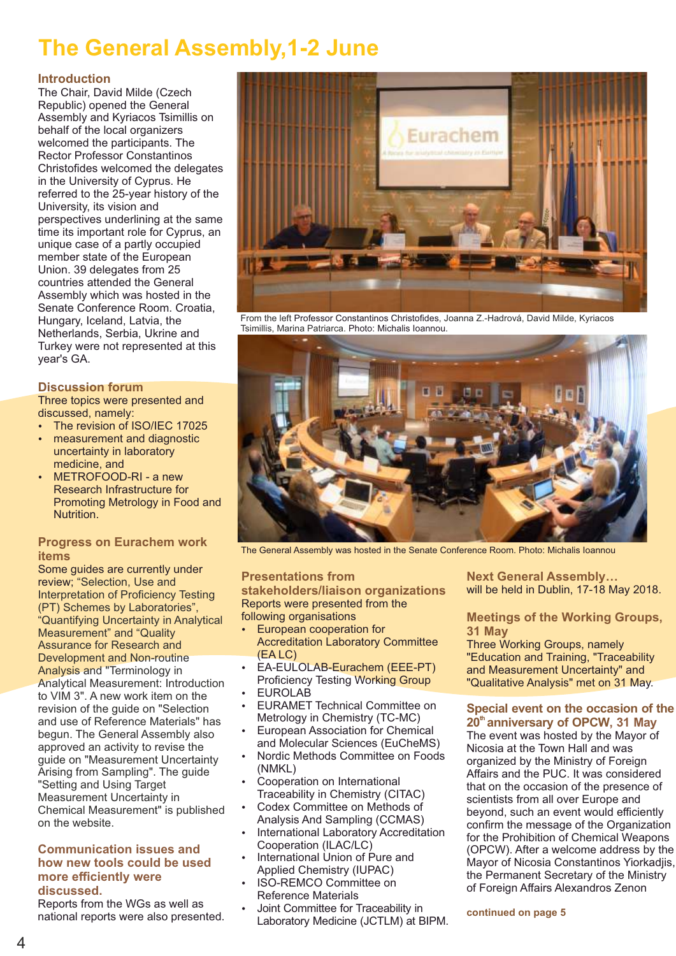# **The General Assembly,1-2 June**

#### **Introduction**

The Chair, David Milde (Czech Republic) opened the General Assembly and Kyriacos Tsimillis on behalf of the local organizers welcomed the participants. The Rector Professor Constantinos Christofides welcomed the delegates in the University of Cyprus. He referred to the 25-year history of the University, its vision and perspectives underlining at the same time its important role for Cyprus, an unique case of a partly occupied member state of the European Union. 39 delegates from 25 countries attended the General Assembly which was hosted in the Senate Conference Room. Croatia, Hungary, Iceland, Latvia, the Netherlands, Serbia, Ukrine and Turkey were not represented at this year's GA.

#### **Discussion forum**

Three topics were presented and discussed, namely:

- The revision of ISO/IEC 17025
- measurement and diagnostic uncertainty in laboratory medicine, and
- METROFOOD-RI a new Research Infrastructure for Promoting Metrology in Food and Nutrition.

#### **Progress on Eurachem work items**

Some guides are currently under review; "Selection, Use and Interpretation of Proficiency Testing (PT) Schemes by Laboratories", "Quantifying Uncertainty in Analytical Measurement" and "Quality Assurance for Research and Development and Non-routine Analysis and "Terminology in Analytical Measurement: Introduction to VIM 3". A new work item on the revision of the guide on "Selection and use of Reference Materials" has begun. The General Assembly also approved an activity to revise the guide on "Measurement Uncertainty Arising from Sampling". The guide "Setting and Using Target Measurement Uncertainty in Chemical Measurement" is published on the website.

#### **Communication issues and how new tools could be used more efficiently were discussed.**

Reports from the WGs as well as national reports were also presented.



From the left Professor Constantinos Christofides, Joanna Z.-Hadrová, David Milde, Kyriacos Tsimillis, Marina Patriarca. Photo: Michalis Ioannou.



The General Assembly was hosted in the Senate Conference Room. Photo: Michalis Ioannou

#### **Presentations from**

**stakeholders/liaison organizations** Reports were presented from the following organisations

- European cooperation for Accreditation Laboratory Committee (EA LC)
- EA-EULOLAB-Eurachem (EEE-PT) Proficiency Testing Working Group
- **EUROLAB**
- **EURAMET Technical Committee on** Metrology in Chemistry (TC-MC)
- European Association for Chemical and Molecular Sciences (EuCheMS)
- Nordic Methods Committee on Foods (NMKL)
- Cooperation on International Traceability in Chemistry (CITAC)
- Codex Committee on Methods of Analysis And Sampling (CCMAS)
- **International Laboratory Accreditation** Cooperation (ILAC/LC)
- International Union of Pure and Applied Chemistry (IUPAC)
- **ISO-REMCO Committee on** Reference Materials
- Joint Committee for Traceability in Laboratory Medicine (JCTLM) at BIPM.

**Next General Assembly…** will be held in Dublin, 17-18 May 2018.

#### **[Meetings of the](https://www.ucy.ac.cy/eurachem2017) Working Groups, 31 May**

Three Working Groups, namely "Education and Training, "Traceability and Measurement Uncertainty" and "Qualitative Analysis" met on 31 May.

#### **Special event on the occasion of the th 20 anniversary of OPCW, 31 May**

The event was hosted by the Mayor of Nicosia at the Town Hall and was organized by the Ministry of Foreign Affairs and the PUC. It was considered that on the occasion of the presence of scientists from all over Europe and beyond, such an event would efficiently confirm the message of the Organization for the Prohibition of Chemical Weapons (OPCW). After a welcome address by the Mayor of Nicosia Constantinos Yiorkadjis, the Permanent Secretary of the Ministry of Foreign Affairs Alexandros Zenon

**continued on page 5**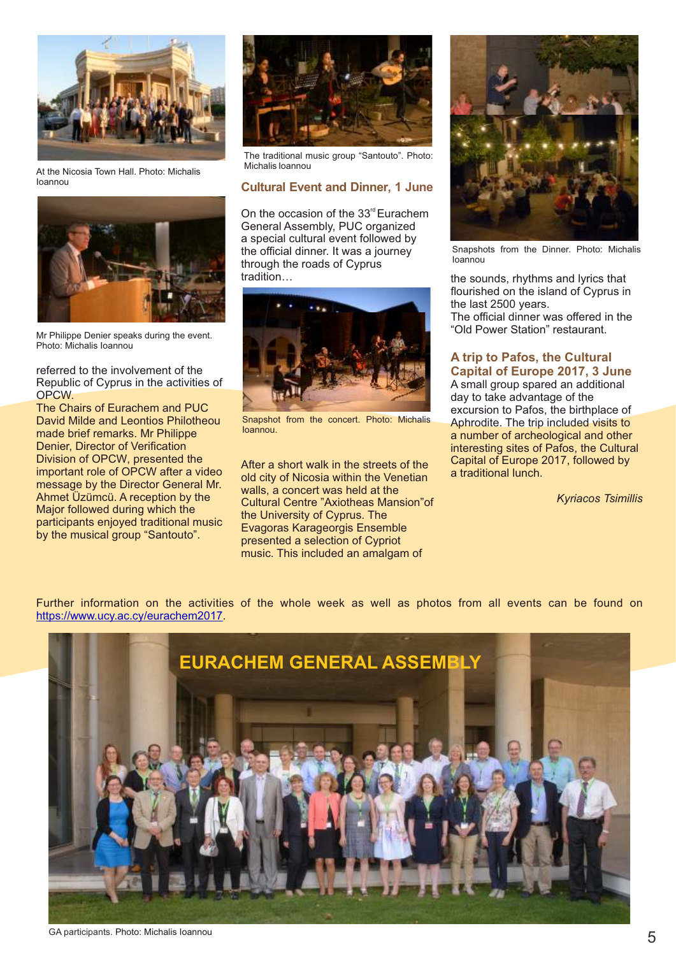

At the Nicosia Town Hall. Photo: Michalis Ioannou



Mr Philippe Denier speaks during the event. Photo: Michalis Ioannou

referred to the involvement of the Republic of Cyprus in the activities of OPCW.

The Chairs of Eurachem and PUC David Milde and Leontios Philotheou made brief remarks. Mr Philippe Denier, Director of Verification Division of OPCW, presented the important role of OPCW after a video message by the Director General Mr. Αhmet Üzümcü. A reception by the Major followed during which the participants enjoyed traditional music by the musical group "Santouto".



The traditional music group "Santouto". Photo: Michalis Ioannou

#### **Cultural Event and Dinner, 1 June**

On the occasion of the  $33<sup>rd</sup>$  Eurachem General Assembly, PUC organized a special cultural event followed by the official dinner. It was a journey through the roads of Cyprus tradition…



Snapshot from the concert. Photo: Michalis Ioannou.

After a short walk in the streets of the old city of Nicosia within the Venetian walls, a concert was held at the Cultural Centre "Axiotheas Μansion"of the University of Cyprus. The Evagoras Karageorgis Ensemble presented a selection of Cypriot music. This included an amalgam of



Snapshots from the Dinner. Photo: Michalis Ioannou

the sounds, rhythms and lyrics that flourished on the island of Cyprus in the last 2500 years.

The official dinner was offered in the "Old Power Station" restaurant.

#### **A trip to Pafos, the Cultural Capital of Europe 2017, 3 June**

A small group spared an additional day to take advantage of the excursion to Pafos, the birthplace of Aphrodite. The trip included visits to a number of archeological and other interesting sites of Pafos, the Cultural Capital of Europe 2017, followed by a traditional lunch.

*Kyriacos Tsimillis*

Further information on the activities of the whole week as well as [photos](https://www.ucy.ac.cy/eurachem2017) from all events can be found on https://www.ucy.ac.cy/eurachem2017.



GA participants. Photo: Michalis Ioannou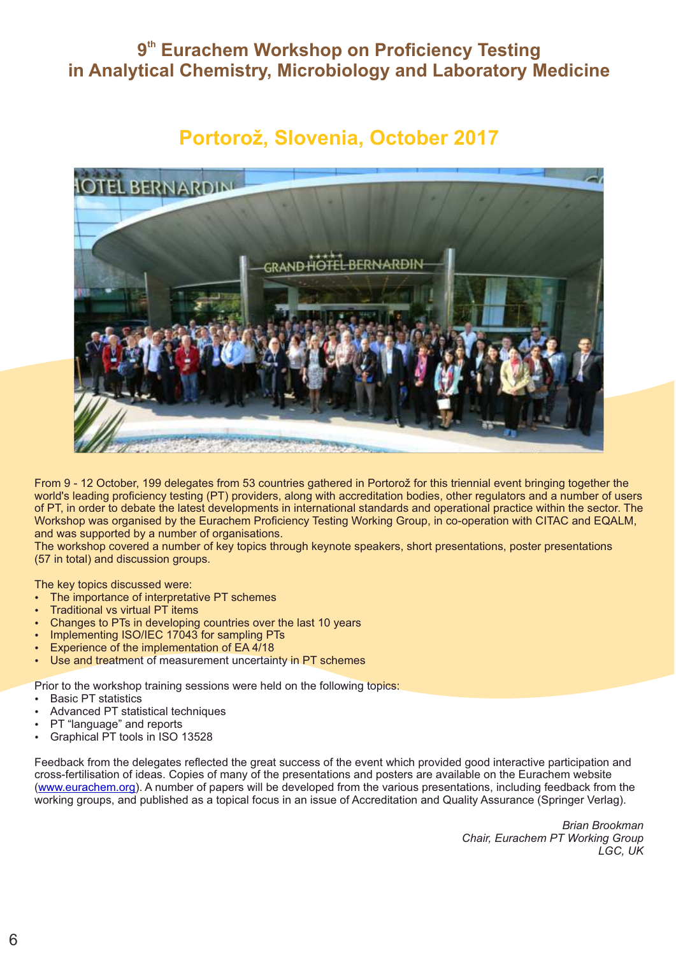# **9<sup>th</sup> Eurachem Workshop on Proficiency Testing in Analytical Chemistry, Microbiology and Laboratory Medicine**

# **Portorož, Slovenia, October 2017**



 From 9 - 12 October, 199 delegates from 53 countries gathered in Portorož for this triennial event bringing together the world's leading proficiency testing (PT) providers, along with accreditation bodies, other regulators and a number of users of PT, in order to debate the latest developments in international standards and operational practice within the sector. The Workshop was organised by the Eurachem Proficiency Testing Working Group, in co-operation with CITAC and EQALM, and was supported by a number of organisations.

The workshop covered a number of key topics through keynote speakers, short presentations, poster presentations (57 in total) and discussion groups.

The key topics discussed were:

- The importance of interpretative PT schemes
- Traditional vs virtual PT items
- Changes to PTs in developing countries over the last 10 years
- Implementing ISO/IEC 17043 for sampling PTs
- Experience of the implementation of EA 4/18
- Use and treatment of measurement uncertainty in PT schemes

Prior to the workshop training sessions were held on the following topics:

- **Basic PT statistics**
- Advanced PT statistical techniques
- PT "language" and reports
- Graphical PT tools in ISO 13528

Feedback from the delegates reflected the great success of the event which provided good interactive participation and cross-fertilisation of ideas. Copies of many of the presentations and posters are available on the Eurachem website (www.eurachem.org). A number of papers will be developed from the various presentations, including feedback from the working groups, and published as a topical focus in an issue of Accreditation and Quality Assurance (Springer Verlag).

> *Brian Brookman Chair, Eurachem PT Working Group LGC, UK*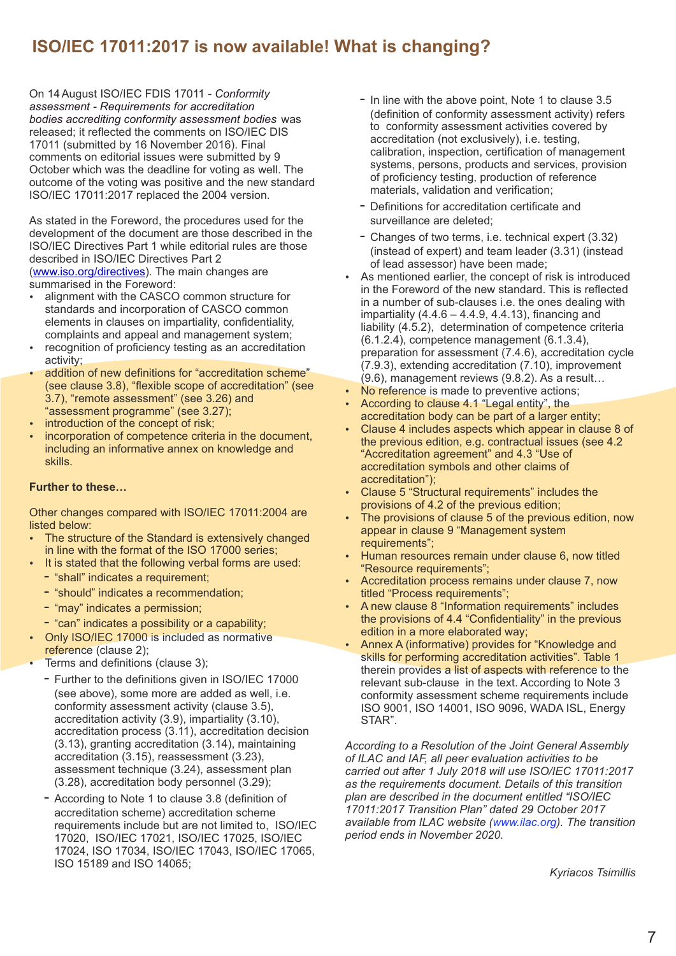# **ISO/IEC 17011:2017 is now available! What is changing?**

On 14August ISO/IEC FDIS 17011 - *Conformity assessment - Requirements for accreditation bodies accrediting conformity assessment bodies* was released; it reflected the comments on ISO/IEC DIS 17011 (submitted by 16 November 2016). Final comments on editorial issues were submitted by 9 October which was the deadline for voting as well. The outcome of the voting was positive and the new standard ISO/IEC 17011:2017 replaced the 2004 version.

As stated in the Foreword, the procedures used for the development of the document are those described in the ISO/IEC Directives Part 1 while editorial rules are those described in ISO/IEC Directives Part 2 (www.iso.org/directives). The main changes are summarised in the Foreword:

- alignment with the CASCO common structure for standards and incorporation of CASCO common elements in clauses on impartiality, confidentiality, complaints and appeal and management system;
- recognition of proficiency testing as an accreditation activity;
- addition of new definitions for "accreditation scheme" (see clause 3.8), "flexible scope of accreditation" (see 3.7), "remote assessment" (see 3.26) and "assessment programme" (see 3.27);
- introduction of the concept of risk:
- incorporation of competence criteria in the document, including an informative annex on knowledge and skills.

#### **Further to these…**

Other changes compared with ISO/IEC 17011:2004 are listed below:

- The structure of the Standard is extensively changed in line with the format of the ISO 17000 series;
- It is stated that the following verbal forms are used:
	- "shall" indicates a requirement;
	- "should" indicates a recommendation:
	- "may" indicates a permission;
	- "can" indicates a possibility or a capability;
- Only ISO/IEC 17000 is included as normative reference (clause 2);
- Terms and definitions (clause 3);
	- Further to the definitions given in ISO/IEC 17000 (see above), some more are added as well, i.e. conformity assessment activity (clause 3.5), accreditation activity (3.9), impartiality (3.10), accreditation process (3.11), accreditation decision (3.13), granting accreditation (3.14), maintaining accreditation (3.15), reassessment (3.23), assessment technique (3.24), assessment plan (3.28), accreditation body personnel (3.29);
	- According to Note 1 to clause 3.8 (definition of accreditation scheme) accreditation scheme requirements include but are not limited to, ISO/IEC 17020, ISO/IEC 17021, ISO/IEC 17025, ISO/IEC 17024, ISO 17034, ISO/IEC 17043, ISO/IEC 17065, ISO 15189 and ISO 14065;
- In line with the above point, Note 1 to clause 3.5 (definition of conformity assessment activity) refers to conformity assessment activities covered by accreditation (not exclusively), i.e. testing, calibration, inspection, certification of management systems, persons, products and services, provision of proficiency testing, production of reference materials, validation and verification;
- Definitions for accreditation certificate and surveillance are deleted;
- Changes of two terms, i.e. technical expert (3.32) (instead of expert) and team leader (3.31) (instead [of lead assessor\) have](http://www.iso.org/directives) been made;
- As mentioned earlier, the concept of risk is introduced in the Foreword of the new standard. This is reflected in a number of sub-clauses i.e. the ones dealing with impartiality  $(4.4.6 - 4.4.9, 4.4.13)$ , financing and liability (4.5.2), determination of competence criteria (6.1.2.4), competence management (6.1.3.4), preparation for assessment (7.4.6), accreditation cycle (7.9.3), extending accreditation (7.10), improvement (9.6), management reviews (9.8.2). As a result…
- No reference is made to preventive actions;
- According to clause 4.1 "Legal entity", the accreditation body can be part of a larger entity;
- Clause 4 includes aspects which appear in clause 8 of the previous edition, e.g. contractual issues (see 4.2 "Accreditation agreement" and 4.3 "Use of accreditation symbols and other claims of accreditation");
- Clause 5 "Structural requirements" includes the provisions of 4.2 of the previous edition;
- The provisions of clause 5 of the previous edition, now appear in clause 9 "Management system requirements";
- Human resources remain under clause 6, now titled "Resource requirements";
- Accreditation process remains under clause 7, now titled "Process requirements";
- A new clause 8 "Information requirements" includes the provisions of 4.4 "Confidentiality" in the previous edition in a more elaborated way;
- Annex A (informative) provides for "Knowledge and skills for performing accreditation activities". Table 1 therein provides a list of aspects with reference to the relevant sub-clause in the text. According to Note 3 conformity assessment scheme requirements include ISO 9001, ISO 14001, ISO 9096, WADA ISL, Energy STAR".

*According to a Resolution of the Joint General Assembly of ILAC and IAF, all peer evaluation activities to be carried out after 1 July 2018 will use ISO/IEC 17011:2017 as the requirements document. Details of this transition plan are described in the document entitled "ISO/IEC 17011:2017 Transition Plan" dated 29 October 2017 available from ILAC website (www.ilac.org). The transition period ends in November 2020.*

*Kyriacos Tsimillis*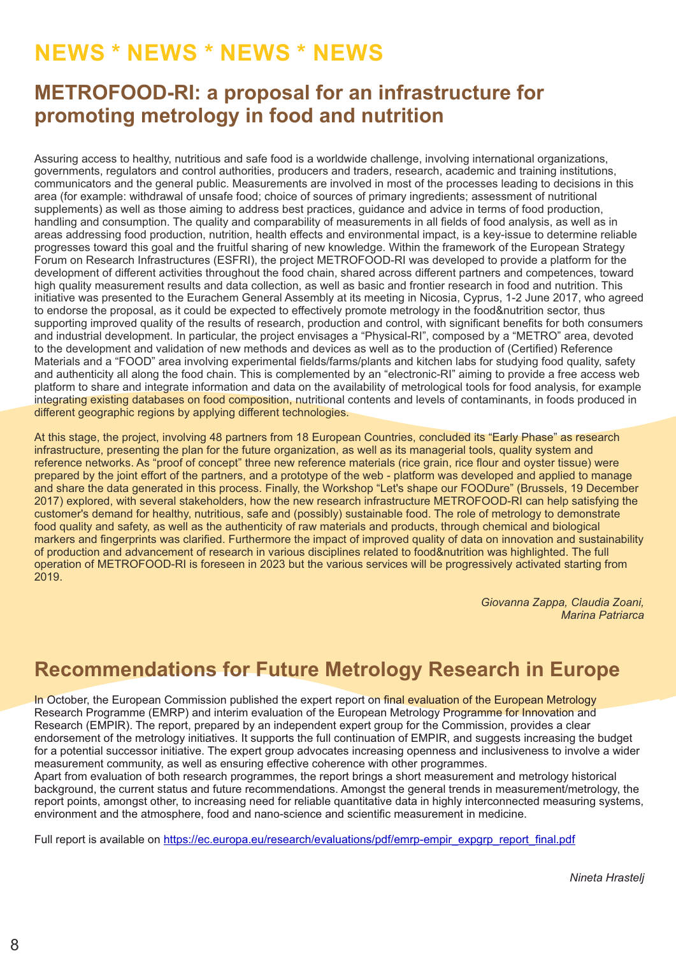# **NEWS \* NEWS \* NEWS \* NEWS**

# **METROFOOD-RI: a proposal for an infrastructure for promoting metrology in food and nutrition**

Assuring access to healthy, nutritious and safe food is a worldwide challenge, involving international organizations, governments, regulators and control authorities, producers and traders, research, academic and training institutions, communicators and the general public. Measurements are involved in most of the processes leading to decisions in this area (for example: withdrawal of unsafe food; choice of sources of primary ingredients; assessment of nutritional supplements) as well as those aiming to address best practices, guidance and advice in terms of food production, handling and consumption. The quality and comparability of measurements in all fields of food analysis, as well as in areas addressing food production, nutrition, health effects and environmental impact, is a key-issue to determine reliable progresses toward this goal and the fruitful sharing of new knowledge. Within the framework of the European Strategy Forum on Research Infrastructures (ESFRI), the project METROFOOD-RI was developed to provide a platform for the development of different activities throughout the food chain, shared across different partners and competences, toward high quality measurement results and data collection, as well as basic and frontier research in food and nutrition. This initiative was presented to the Eurachem General Assembly at its meeting in Nicosia, Cyprus, 1-2 June 2017, who agreed to endorse the proposal, as it could be expected to effectively promote metrology in the food&nutrition sector, thus supporting improved quality of the results of research, production and control, with significant benefits for both consumers and industrial development. In particular, the project envisages a "Physical-RI", composed by a "METRO" area, devoted to the development and validation of new methods and devices as well as to the production of (Certified) Reference Materials and a "FOOD" area involving experimental fields/farms/plants and kitchen labs for studying food quality, safety and authenticity all along the food chain. This is complemented by an "electronic-RI" aiming to provide a free access web platform to share and integrate information and data on the availability of metrological tools for food analysis, for example integrating existing databases on food composition, nutritional contents and levels of contaminants, in foods produced in different geographic regions by applying different technologies.

At this stage, the project, involving 48 partners from 18 European Countries, concluded its "Early Phase" as research infrastructure, presenting the plan for the future organization, as well as its managerial tools, quality system and reference networks. As "proof of concept" three new reference materials (rice grain, rice flour and oyster tissue) were prepared by the joint effort of the partners, and a prototype of the web - platform was developed and applied to manage and share the data generated in this process. Finally, the Workshop "Let's shape our FOODure" (Brussels, 19 December 2017) explored, with several stakeholders, how the new research infrastructure METROFOOD-RI can help satisfying the customer's demand for healthy, nutritious, safe and (possibly) sustainable food. The role of metrology to demonstrate food quality and safety, as well as the authenticity of raw materials and products, through chemical and biological markers and fingerprints was clarified. Furthermore the impact of improved quality of data on innovation and sustainability of production and advancement of research in various disciplines related to food&nutrition was highlighted. The full operation of METROFOOD-RI is foreseen in 2023 but the various services will be progressively activated starting from 2019.

> *Giovanna Zappa, Claudia Zoani, Marina Patriarca*

# **Recommendations for Future Metrology Research in Europe**

In October, the European Commission published the expert report on final evaluation of the European Metrology Research Programme (EMRP) and interim evaluation of the European Metrology Programme for Innovation and Research (EMPIR). The report, prepared by an independent expert group for the Commission, provides a clear endorsement of the metrology initiatives. It supports the full continuation of EMPIR, and suggests increasing the budget for a potential successor initiative. The expert group advocates increasing openness and inclusiveness to involve a wider measurement community, as well as ensuring effective coherence with other programmes.

Apart from evaluation of both research programmes, the report brings a short measurement and metrology historical background, the current status and future recommendations. Amongst the general trends in measurement/metrology, the report points, amongst other, to increasing need for reliable quantitative data in highly interconnected measuring systems, environment and the atmosphere, food and nano-science and scientific measurement in medicine.

[Full report is available on https://ec.europ](https://ec.europa.eu/research/evaluations/pdf/emrp-empir_expgrp_report_final.pdf)a.eu/research/evaluations/pdf/emrp-empir\_expgrp\_report\_final.pdf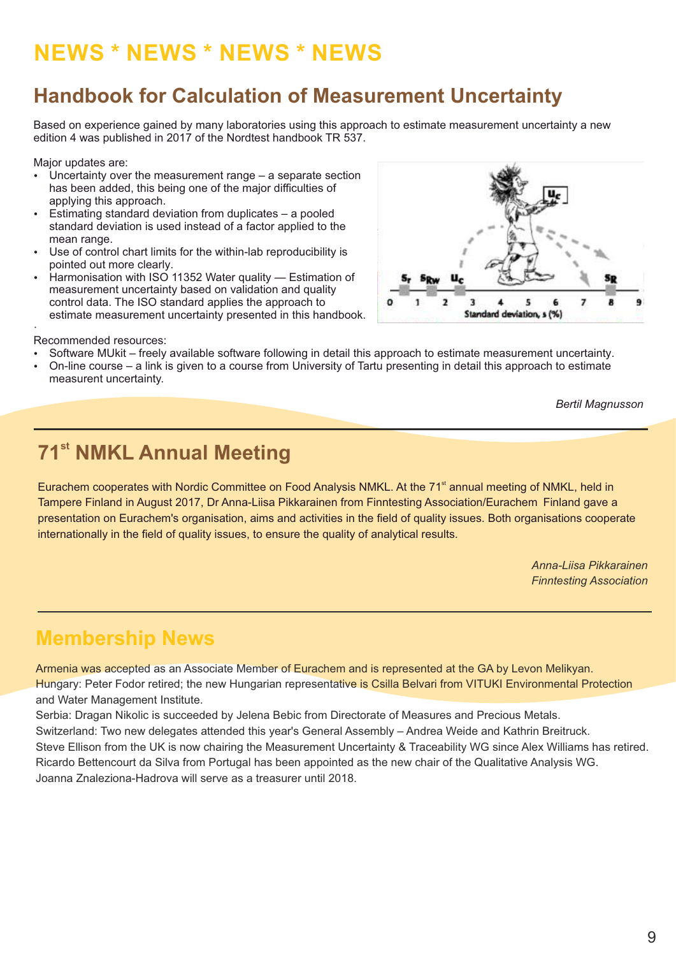# **NEWS \* NEWS \* NEWS \* NEWS**

# **Handbook for Calculation of Measurement Uncertainty**

Based on experience gained by many laboratories using this approach to estimate measurement uncertainty a new edition 4 was published in 2017 of the Nordtest handbook TR 537.

Major updates are:

- Uncertainty over the measurement range  $-$  a separate section has been added, this being one of the major difficulties of applying this approach.
- Estimating standard deviation from duplicates  $-$  a pooled standard deviation is used instead of a factor applied to the mean range.
- Use of control chart limits for the within-lab reproducibility is pointed out more clearly.
- Harmonisation with ISO 11352 Water quality Estimation of measurement uncertainty based on validation and quality control data. The ISO standard applies the approach to estimate measurement uncertainty presented in this handbook.



#### · Recommended resources:

- Software MUkit freely available software following in detail this approach to estimate measurement uncertainty.
- On-line course a link is given to a course from University of Tartu presenting in detail this approach to estimate measurent uncertainty.

*Bertil Magnusson*

# **71<sup>st</sup> NMKL Annual Meeting**

Eurachem cooperates with Nordic Committee on Food Analysis NMKL. At the 71<sup>st</sup> annual meeting of NMKL, held in Tampere Finland in August 2017, Dr Anna-Liisa Pikkarainen from Finntesting Association/Eurachem Finland gave a presentation on Eurachem's organisation, aims and activities in the field of quality issues. Both organisations cooperate internationally in the field of quality issues, to ensure the quality of analytical results.

> *Anna-Liisa Pikkarainen Finntesting Association*

# **Membership News**

Armenia was accepted as an Associate Member of Eurachem and is represented at the GA by Levon Melikyan. Hungary: Peter Fodor retired; the new Hungarian representative is Csilla Belvari from VITUKI Environmental Protection and Water Management Institute.

Serbia: Dragan Nikolic is succeeded by Jelena Bebic from Directorate of Measures and Precious Metals. Switzerland: Two new delegates attended this year's General Assembly – Andrea Weide and Kathrin Breitruck. Steve Ellison from the UK is now chairing the Measurement Uncertainty & Traceability WG since Alex Williams has retired. Ricardo Bettencourt da Silva from Portugal has been appointed as the new chair of the Qualitative Analysis WG. Joanna Znaleziona-Hadrova will serve as a treasurer until 2018.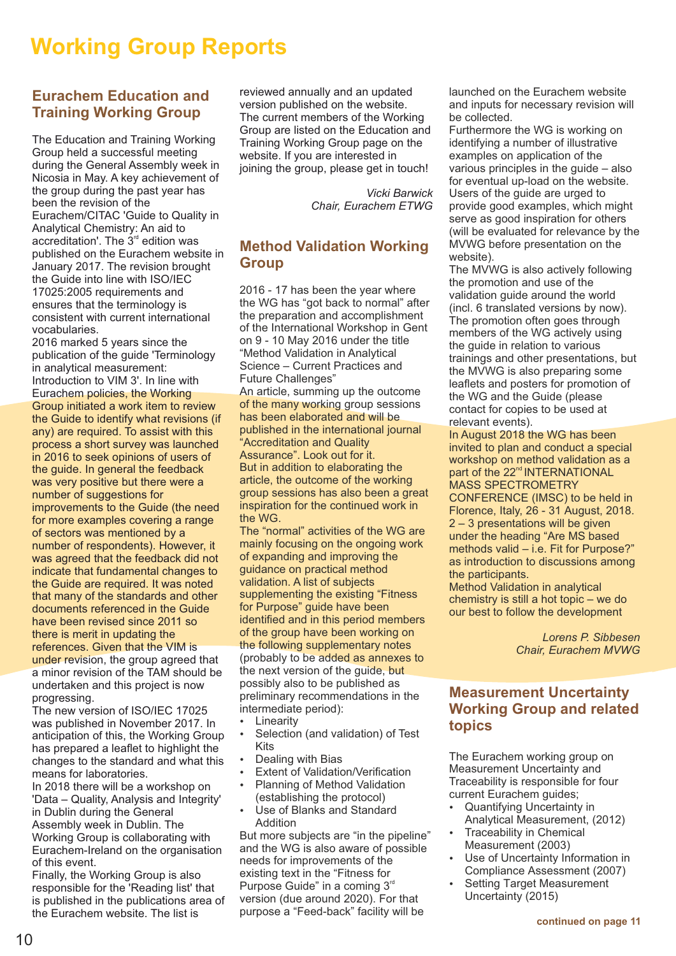# **Working Group Reports**

## **Eurachem Education and Training Working Group**

The Education and Training Working Group held a successful meeting during the General Assembly week in Nicosia in May. A key achievement of the group during the past year has been the revision of the Eurachem/CITAC 'Guide to Quality in Analytical Chemistry: An aid to accreditation'. The  $3<sup>rd</sup>$  edition was published on the Eurachem website in January 2017. The revision brought the Guide into line with ISO/IEC 17025:2005 requirements and ensures that the terminology is consistent with current international vocabularies.

2016 marked 5 years since the publication of the guide 'Terminology in analytical measurement: Introduction to VIM 3'. In line with Eurachem policies, the Working Group initiated a work item to review the Guide to identify what revisions (if any) are required. To assist with this process a short survey was launched in 2016 to seek opinions of users of the guide. In general the feedback was very positive but there were a number of suggestions for improvements to the Guide (the need for more examples covering a range of sectors was mentioned by a number of respondents). However, it was agreed that the feedback did not indicate that fundamental changes to the Guide are required. It was noted that many of the standards and other documents referenced in the Guide have been revised since 2011 so there is merit in updating the references. Given that the VIM is under revision, the group agreed that a minor revision of the TAM should be undertaken and this project is now

progressing. The new version of ISO/IEC 17025 was published in November 2017. In anticipation of this, the Working Group has prepared a leaflet to highlight the changes to the standard and what this means for laboratories.

In 2018 there will be a workshop on 'Data – Quality, Analysis and Integrity' in Dublin during the General Assembly week in Dublin. The Working Group is collaborating with Eurachem-Ireland on the organisation of this event.

Finally, the Working Group is also responsible for the 'Reading list' that is published in the publications area of the Eurachem website. The list is

reviewed annually and an updated version published on the website. The current members of the Working Group are listed on the Education and Training Working Group page on the website. If you are interested in joining the group, please get in touch!

> *Vicki Barwick Chair, Eurachem ETWG*

# **Method Validation Working Group**

2016 - 17 has been the year where the WG has "got back to normal" after the preparation and accomplishment of the International Workshop in Gent on 9 - 10 May 2016 under the title "Method Validation in Analytical Science – Current Practices and Future Challenges"

An article, summing up the outcome of the many working group sessions has been elaborated and will be published in the international journal "Accreditation and Quality Assurance". Look out for it. But in addition to elaborating the article, the outcome of the working group sessions has also been a great inspiration for the continued work in

the WG. The "normal" activities of the WG are mainly focusing on the ongoing work of expanding and improving the guidance on practical method validation. A list of subjects supplementing the existing "Fitness for Purpose" guide have been identified and in this period members of the group have been working on the following supplementary notes (probably to be added as annexes to the next version of the guide, but possibly also to be published as preliminary recommendations in the intermediate period):

- Linearity
- Selection (and validation) of Test Kits
- Dealing with Bias
- Extent of Validation/Verification
- Planning of Method Validation (establishing the protocol)
- Use of Blanks and Standard Addition

But more subjects are "in the pipeline" and the WG is also aware of possible needs for improvements of the existing text in the "Fitness for Purpose Guide" in a coming  $3<sup>n</sup>$ version (due around 2020). For that purpose a "Feed-back" facility will be

launched on the Eurachem website and inputs for necessary revision will be collected.

Furthermore the WG is working on identifying a number of illustrative examples on application of the various principles in the guide – also for eventual up-load on the website. Users of the guide are urged to provide good examples, which might serve as good inspiration for others (will be evaluated for relevance by the MVWG before presentation on the website).

The MVWG is also actively following the promotion and use of the validation guide around the world (incl. 6 translated versions by now). The promotion often goes through members of the WG actively using the guide in relation to various trainings and other presentations, but the MVWG is also preparing some leaflets and posters for promotion of the WG and the Guide (please contact for copies to be used at relevant events).

In August 2018 the WG has been invited to plan and conduct a special workshop on method validation as a part of the 22<sup>nd</sup> INTERNATIONAL MASS SPECTROMETRY CONFERENCE (IMSC) to be held in Florence, Italy, 26 - 31 August, 2018. 2 – 3 presentations will be given under the heading "Are MS based methods valid – i.e. Fit for Purpose?" as introduction to discussions among the participants.

Method Validation in analytical chemistry is still a hot topic – we do our best to follow the development

> *Lorens P. Sibbesen Chair, Eurachem MVWG*

# **Measurement Uncertainty Working Group and related topics**

The Eurachem working group on Measurement Uncertainty and Traceability is responsible for four current Eurachem guides;

- Quantifying Uncertainty in Analytical Measurement, (2012)
- **Traceability in Chemical** Measurement (2003)
- Use of Uncertainty Information in Compliance Assessment (2007)
- Setting Target Measurement Uncertainty (2015)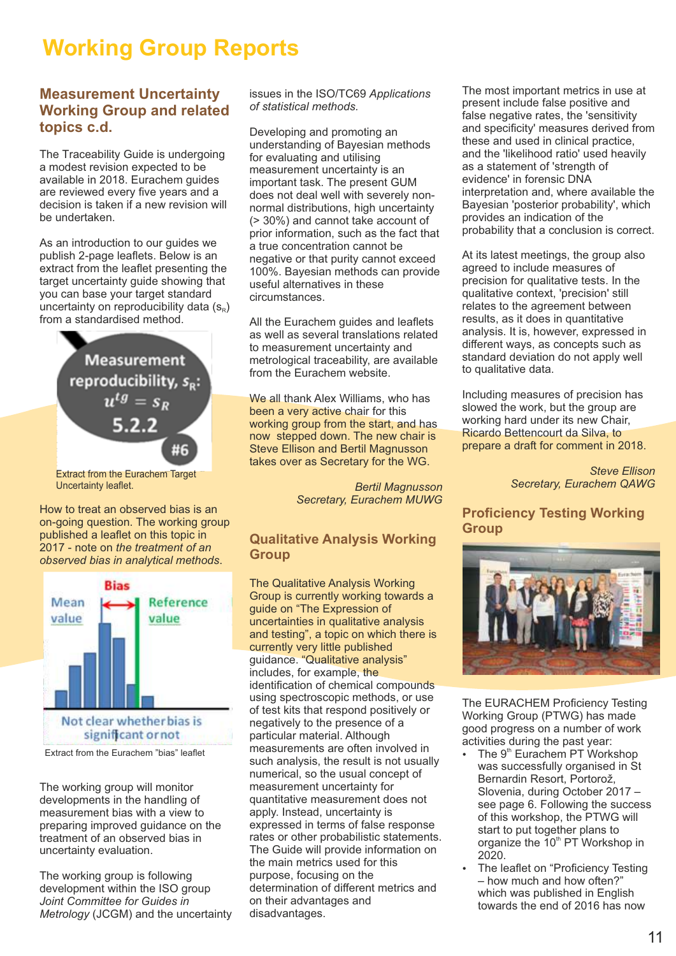# **Working Group Reports**

# **Measurement Uncertainty Working Group and related topics c.d.**

The Traceability Guide is undergoing a modest revision expected to be available in 2018. Eurachem guides are reviewed every five years and a decision is taken if a new revision will be undertaken.

As an introduction to our guides we publish 2-page leaflets. Below is an extract from the leaflet presenting the target uncertainty guide showing that you can base your target standard uncertainty on reproducibility data  $(s_{R})$ from a standardised method.



How to treat an observed bias is an on-going question. The working group published a leaflet on this topic in 2017 - note on *the treatment of an observed bias in analytical methods*.



Extract from the Eurachem "bias" leaflet

The working group will monitor developments in the handling of measurement bias with a view to preparing improved guidance on the treatment of an observed bias in uncertainty evaluation.

The working group is following development within the ISO group *Joint Committee for Guides in Metrology* (JCGM) and the uncertainty issues in the ISO/TC69 *Applications of statistical methods.*

Developing and promoting an understanding of Bayesian methods for evaluating and utilising measurement uncertainty is an important task. The present GUM does not deal well with severely nonnormal distributions, high uncertainty (> 30%) and cannot take account of prior information, such as the fact that a true concentration cannot be negative or that purity cannot exceed 100%. Bayesian methods can provide useful alternatives in these circumstances.

All the Eurachem guides and leaflets as well as several translations related to measurement uncertainty and metrological traceability, are available from the Eurachem website.

We all thank Alex Williams, who has been a very active chair for this working group from the start, and has now stepped down. The new chair is Steve Ellison and Bertil Magnusson takes over as Secretary for the WG.

> *Bertil Magnusson Secretary, Eurachem MUWG*

## **Qualitative Analysis Working Group**

The Qualitative Analysis Working Group is currently working towards a guide on "The Expression of uncertainties in qualitative analysis and testing", a topic on which there is currently very little published guidance. "Qualitative analysis" includes, for example, the identification of chemical compounds using spectroscopic methods, or use of test kits that respond positively or negatively to the presence of a particular material. Although measurements are often involved in such analysis, the result is not usually numerical, so the usual concept of measurement uncertainty for quantitative measurement does not apply. Instead, uncertainty is expressed in terms of false response rates or other probabilistic statements. The Guide will provide information on the main metrics used for this purpose, focusing on the determination of different metrics and on their advantages and disadvantages.

The most important metrics in use at present include false positive and false negative rates, the 'sensitivity and specificity' measures derived from these and used in clinical practice, and the 'likelihood ratio' used heavily as a statement of 'strength of evidence' in forensic DNA interpretation and, where available the Bayesian 'posterior probability', which provides an indication of the probability that a conclusion is correct.

At its latest meetings, the group also agreed to include measures of precision for qualitative tests. In the qualitative context, 'precision' still relates to the agreement between results, as it does in quantitative analysis. It is, however, expressed in different ways, as concepts such as standard deviation do not apply well to qualitative data.

Including measures of precision has slowed the work, but the group are working hard under its new Chair, Ricardo Bettencourt da Silva, to prepare a draft for comment in 2018.

> *Steve Ellison Secretary, Eurachem QAWG*

**Proficiency Testing Working Group**



The EURACHEM Proficiency Testing Working Group (PTWG) has made good progress on a number of work activities during the past year:

- The 9<sup>th</sup> Eurachem PT Workshop was successfully organised in St Bernardin Resort, Portorož, Slovenia, during October 2017 – see page 6. Following the success of this workshop, the PTWG will start to put together plans to organize the 10<sup>th</sup> PT Workshop in 2020.
- The leaflet on "Proficiency Testing – how much and how often?" which was published in English towards the end of 2016 has now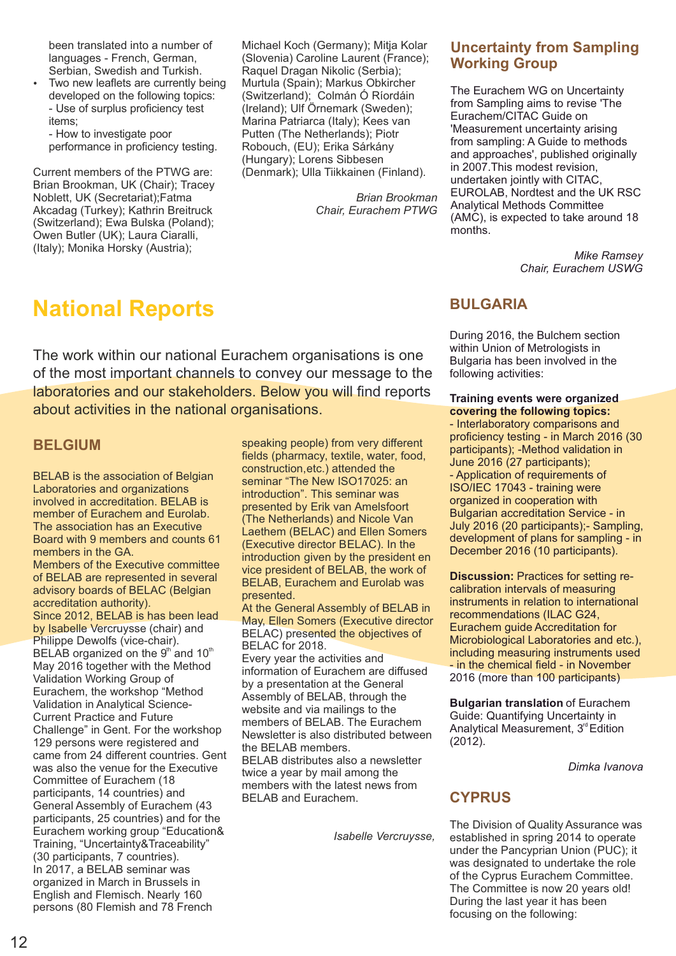been translated into a number of languages - French, German, Serbian, Swedish and Turkish.

Two new leaflets are currently being developed on the following topics: - Use of surplus proficiency test items;

- How to investigate poor performance in proficiency testing.

Current members of the PTWG are: Brian Brookman, UK (Chair); Tracey Noblett, UK (Secretariat);Fatma Akcadag (Turkey); Kathrin Breitruck (Switzerland); Ewa Bulska (Poland); Owen Butler (UK); Laura Ciaralli, (Italy); Monika Horsky (Austria);

Michael Koch (Germany); Mitja Kolar (Slovenia) Caroline Laurent (France); Raquel Dragan Nikolic (Serbia); Murtula (Spain); Markus Obkircher (Switzerland); Colmán Ó Ríordáin (Ireland); Ulf Örnemark (Sweden); Marina Patriarca (Italy); Kees van Putten (The Netherlands); Piotr Robouch, (EU); Erika Sárkány (Hungary); Lorens Sibbesen (Denmark); Ulla Tiikkainen (Finland).

> *Brian Brookman Chair, Eurachem PTWG*

# **Uncertainty from Sampling Working Group**

The Eurachem WG on Uncertainty from Sampling aims to revise 'The Eurachem/CITAC Guide on 'Measurement uncertainty arising from sampling: A Guide to methods and approaches', published originally in 2007.This modest revision, undertaken jointly with CITAC, EUROLAB, Nordtest and the UK RSC Analytical Methods Committee (AMC), is expected to take around 18 months.

> *Mike Ramsey Chair, Eurachem USWG*

# **National Reports**

The work within our national Eurachem organisations is one of the most important channels to convey our message to the laboratories and our stakeholders. Below you will find reports about activities in the national organisations.

## **BELGIUM**

BELAB is the association of Belgian Laboratories and organizations involved in accreditation. BELAB is member of Eurachem and Eurolab. The association has an Executive Board with 9 members and counts 61 members in the GA.

Members of the Executive committee of BELAB are represented in several advisory boards of BELAC (Belgian accreditation authority).

Since 2012, BELAB is has been lead by Isabelle Vercruysse (chair) and Philippe Dewolfs (vice-chair). BELAB organized on the  $9<sup>th</sup>$  and 10<sup>th</sup> May 2016 together with the Method Validation Working Group of Eurachem, the workshop "Method Validation in Analytical Science-Current Practice and Future Challenge" in Gent. For the workshop 129 persons were registered and came from 24 different countries. Gent was also the venue for the Executive Committee of Eurachem (18 participants, 14 countries) and General Assembly of Eurachem (43 participants, 25 countries) and for the Eurachem working group "Education& Training, "Uncertainty&Traceability" (30 participants, 7 countries). In 2017, a BELAB seminar was organized in March in Brussels in English and Flemisch. Nearly 160 persons (80 Flemish and 78 French

speaking people) from very different fields (pharmacy, textile, water, food, construction,etc.) attended the seminar "The New ISO17025: an introduction". This seminar was presented by Erik van Amelsfoort (The Netherlands) and Nicole Van Laethem (BELAC) and Ellen Somers (Executive director BELAC). In the introduction given by the president en vice president of BELAB, the work of BELAB, Eurachem and Eurolab was presented.

At the General Assembly of BELAB in May, Ellen Somers (Executive director BELAC) presented the objectives of BELAC for 2018.

Every year the activities and information of Eurachem are diffused by a presentation at the General Assembly of BELAB, through the website and via mailings to the members of BELAB. The Eurachem Newsletter is also distributed between the BELAB members.

BELAB distributes also a newsletter twice a year by mail among the members with the latest news from BELAB and Eurachem.

*Isabelle Vercruysse,* 

## **BULGARIA**

During 2016, the Bulchem section within Union of Metrologists in Bulgaria has been involved in the following activities:

#### **Training events were organized covering the following topics:**

- Interlaboratory comparisons and proficiency testing - in March 2016 (30 participants); -Method validation in June 2016 (27 participants); - Application of requirements of ISO/IEC 17043 - training were organized in cooperation with Bulgarian accreditation Service - in July 2016 (20 participants);- Sampling, development of plans for sampling - in December 2016 (10 participants).

**Discussion:** Practices for setting recalibration intervals of measuring instruments in relation to international recommendations (ILAC G24, Eurachem guide Accreditation for Microbiological Laboratories and etc.), including measuring instruments used - in the chemical field - in November 2016 (more than 100 participants)

**Bulgarian translation** of Eurachem Guide: Quantifying Uncertainty in Analytical Measurement,  $3<sup>rd</sup>$  Edition (2012).

*Dimka Ivanova*

## **CYPRUS**

The Division of Quality Assurance was established in spring 2014 to operate under the Pancyprian Union (PUC); it was designated to undertake the role of the Cyprus Eurachem Committee. The Committee is now 20 years old! During the last year it has been focusing on the following: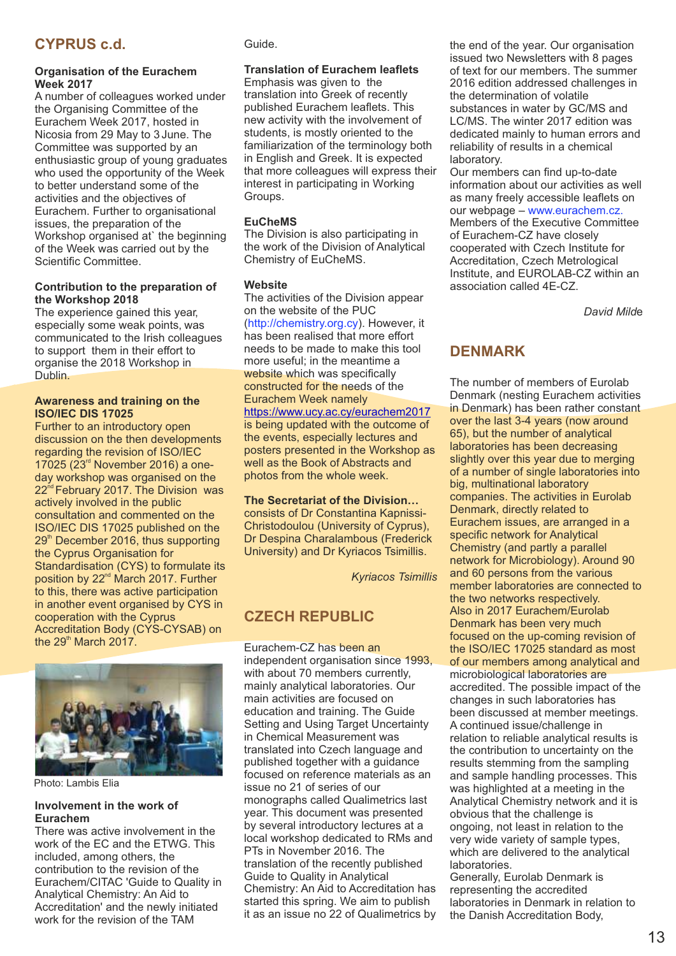# **CYPRUS c.d.**

#### **Organisation of the Eurachem Week 2017**

A number of colleagues worked under the Organising Committee of the Eurachem Week 2017, hosted in Nicosia from 29 May to 3June. The Committee was supported by an enthusiastic group of young graduates who used the opportunity of the Week to better understand some of the activities and the objectives of Eurachem. Further to organisational issues, the preparation of the Workshop organised at` the beginning of the Week was carried out by the Scientific Committee.

#### **Contribution to the preparation of the Workshop 2018**

The experience gained this year, especially some weak points, was communicated to the Irish colleagues to support them in their effort to organise the 2018 Workshop in Dublin.

#### **Awareness and training on the ISO/IEC DIS 17025**

Further to an introductory open discussion on the then developments regarding the revision of ISO/IEC  $17025$  ( $23<sup>rd</sup>$  November 2016) a oneday workshop was organised on the  $22<sup>nd</sup>$  February 2017. The Division was actively involved in the public consultation and commented on the ISO/IEC DIS 17025 published on the  $29<sup>th</sup>$  December 2016, thus supporting the Cyprus Organisation for Standardisation (CYS) to formulate its position by 22<sup>nd</sup> March 2017. Further to this, there was active participation in another event organised by CYS in cooperation with the Cyprus Accreditation Body (CYS-CYSAB) on the  $29<sup>th</sup>$  March 2017.



Photo: Lambis Elia

#### **Involvement in the work of Eurachem**

There was active involvement in the work of the EC and the ETWG. This included, among others, the contribution to the revision of the Eurachem/CITAC 'Guide to Quality in Analytical Chemistry: An Aid to Accreditation' and the newly initiated work for the revision of the TAM

Guide.

#### **Translation of Eurachem leaflets**

Emphasis was given to the translation into Greek of recently published Eurachem leaflets. This new activity with the involvement of students, is mostly oriented to the familiarization of the terminology both in English and Greek. It is expected that more colleagues will express their interest in participating in Working Groups.

#### **EuCheMS**

The Division is also participating in the work of the Division of Analytical Chemistry of EuCheMS.

#### **Website**

The activities of the Division appear on the website of the PUC (http://chemistry.org.cy). However, it has been realised that more effort needs to be made to make this tool more useful; in the meantime a website which was specifically constructed for the needs of the Eurachem Week namely https://www.ucy.ac.cy/eurachem2017 is being updated with the outcome of the events, especially lectures and posters presented in the Workshop as well as the Book of Abstracts and photos from the whole week.

#### **The Secretariat of the Division…**

consists of Dr Constantina Kapnissi-Christodoulou (University of Cyprus), Dr Despina Charalambous (Frederick University) and Dr Kyriacos Tsimillis.

*Kyriacos Tsimillis*

# **CZECH REPUBLIC**

Eurachem-CZ has been an independent organisation since 1993, with about 70 members currently, mainly analytical laboratories. Our main activities are focused on education and training. The Guide Setting and Using Target Uncertainty in Chemical Measurement was translated into Czech language and published together with a guidance focused on reference materials as an issue no 21 of series of our monographs called Qualimetrics last year. This document was presented by several introductory lectures at a local workshop dedicated to RMs and PTs in November 2016. The translation of the recently published Guide to Quality in Analytical Chemistry: An Aid to Accreditation has started this spring. We aim to publish it as an issue no 22 of Qualimetrics by the end of the year. Our organisation issued two Newsletters with 8 pages of text for our members. The summer 2016 edition addressed challenges in the determination of volatile substances in water by GC/MS and LC/MS. The winter 2017 edition was dedicated mainly to human errors and reliability of results in a chemical laboratory.

Our members can find up-to-date information about our activities as well as many freely accessible leaflets on our webpage – www.eurachem.cz. Members of the Executive Committee of Eurachem-CZ have closely cooperated with Czech Institute for Accreditation, Czech Metrological Institute, and EUROLAB-CZ within an association called 4E-CZ.

*David Mild*e

## **DENMARK**

The number of members of Eurolab Denmark (nesting Eurachem activities in Denmark) has been rather constant over the last 3-4 years (now around 65), but the number of analytical laboratories has been decreasing slightly over this year due to merging of a number of single laboratories into big, multinational laboratory companies. The activities in Eurolab Denmark, directly related to Eurachem issues, are arranged in a specific network for Analytical Chemistry (and partly a parallel network for Microbiology). Around 90 and 60 persons from the various member laboratories are connected to the two networks respectively. Also in 2017 Eurachem/Eurolab Denmark has been very much focused on the up-coming revision of the ISO/IEC 17025 standard as most of our members among analytical and microbiological laboratories are accredited. The possible impact of the changes in such laboratories has been discussed at member meetings. A continued issue/challenge in relation to reliable analytical results is the contribution to uncertainty on the results stemming from the sampling and sample handling processes. This was highlighted at a meeting in the Analytical Chemistry network and it is obvious that the challenge is ongoing, not least in relation to the very wide variety of sample types, which are delivered to the analytical laboratories.

Generally, Eurolab Denmark is representing the accredited laboratories in Denmark in relation to the Danish Accreditation Body,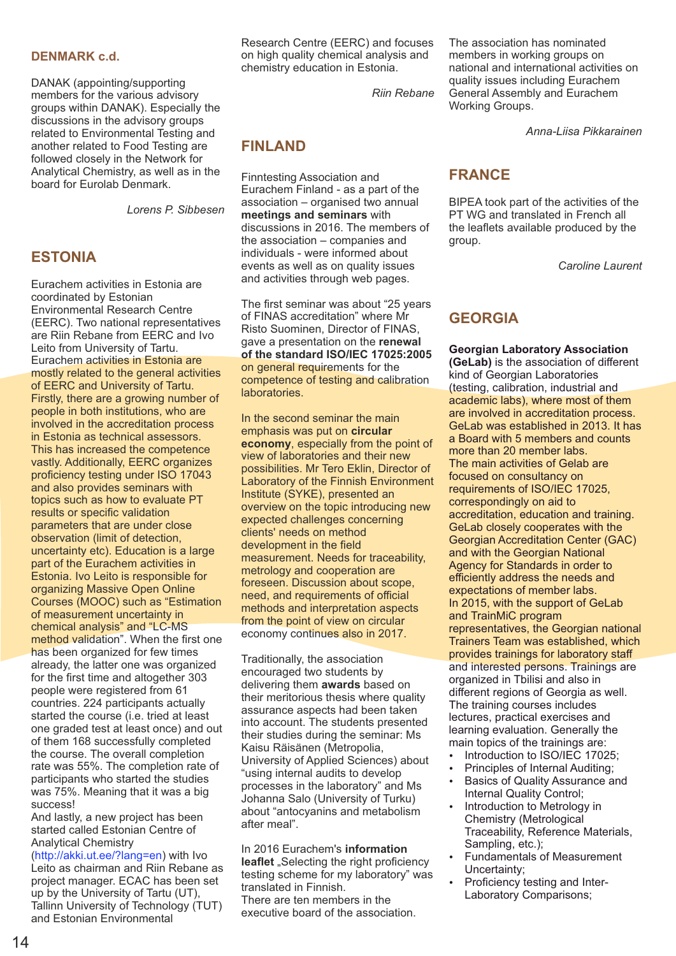#### **DENMARK c.d.**

DANAK (appointing/supporting members for the various advisory groups within DANAK). Especially the discussions in the advisory groups related to Environmental Testing and another related to Food Testing are followed closely in the Network for Analytical Chemistry, as well as in the board for Eurolab Denmark.

*Lorens P. Sibbesen*

## **ESTONIA**

Eurachem activities in Estonia are coordinated by Estonian Environmental Research Centre (EERC). Two national representatives are Riin Rebane from EERC and Ivo Leito from University of Tartu. Eurachem activities in Estonia are mostly related to the general activities of EERC and University of Tartu. Firstly, there are a growing number of people in both institutions, who are involved in the accreditation process in Estonia as technical assessors. This has increased the competence vastly. Additionally, EERC organizes proficiency testing under ISO 17043 and also provides seminars with topics such as how to evaluate PT results or specific validation parameters that are under close observation (limit of detection, uncertainty etc). Education is a large part of the Eurachem activities in Estonia. Ivo Leito is responsible for organizing Massive Open Online Courses (MOOC) such as "Estimation of measurement uncertainty in chemical analysis" and "LC-MS method validation". When the first one has been organized for few times already, the latter one was organized for the first time and altogether 303 people were registered from 61 countries. 224 participants actually started the course (i.e. tried at least one graded test at least once) and out of them 168 successfully completed the course. The overall completion rate was 55%. The completion rate of participants who started the studies was 75%. Meaning that it was a big success!

And lastly, a new project has been started called Estonian Centre of Analytical Chemistry

(http://akki.ut.ee/?lang=en) with Ivo Leito as chairman and Riin Rebane as project manager. ECAC has been set up by the University of Tartu (UT), Tallinn University of Technology (TUT) and Estonian Environmental

Research Centre (EERC) and focuses on high quality chemical analysis and chemistry education in Estonia.

*Riin Rebane*

# **FINLAND**

Finntesting Association and Eurachem Finland - as a part of the association – organised two annual **meetings and seminars** with discussions in 2016. The members of the association – companies and individuals - were informed about events as well as on quality issues and activities through web pages.

The first seminar was about "25 years of FINAS accreditation" where Mr Risto Suominen, Director of FINAS, gave a presentation on the **renewal of the standard ISO/IEC 17025:2005** on general requirements for the competence of testing and calibration laboratories.

In the second seminar the main emphasis was put on **circular economy**, especially from the point of view of laboratories and their new possibilities. Mr Tero Eklin, Director of Laboratory of the Finnish Environment Institute (SYKE), presented an overview on the topic introducing new expected challenges concerning clients' needs on method development in the field measurement. Needs for traceability, metrology and cooperation are foreseen. Discussion about scope, need, and requirements of official methods and interpretation aspects from the point of view on circular economy continues also in 2017.

Traditionally, the association encouraged two students by delivering them **awards** based on their meritorious thesis where quality assurance aspects had been taken into account. The students presented their studies during the seminar: Ms Kaisu Räisänen (Metropolia, University of Applied Sciences) about "using internal audits to develop processes in the laboratory" and Ms Johanna Salo (University of Turku) about "antocyanins and metabolism after meal".

In 2016 Eurachem's **information**  leaflet "Selecting the right proficiency testing scheme for my laboratory" was translated in Finnish.

There are ten members in the executive board of the association. The association has nominated members in working groups on national and international activities on quality issues including Eurachem General Assembly and Eurachem Working Groups.

*Anna-Liisa Pikkarainen*

# **FRANCE**

BIPEA took part of the activities of the PT WG and translated in French all the leaflets available produced by the group.

*Caroline Laurent*

# **GEORGIA**

**Georgian Laboratory Association (GeLab)** is the association of different kind of Georgian Laboratories (testing, calibration, industrial and academic labs), where most of them are involved in accreditation process. GeLab was established in 2013. It has a Board with 5 members and counts more than 20 member labs. The main activities of Gelab are focused on consultancy on requirements of ISO/IEC 17025, correspondingly on aid to accreditation, education and training. GeLab closely cooperates with the Georgian Accreditation Center (GAC) and with the Georgian National Agency for Standards in order to efficiently address the needs and expectations of member labs. In 2015, with the support of GeLab and TrainMiC program representatives, the Georgian national Trainers Team was established, which provides trainings for laboratory staff and interested persons. Trainings are organized in Tbilisi and also in different regions of Georgia as well. The training courses includes lectures, practical exercises and learning evaluation. Generally the main topics of the trainings are:

- Introduction to ISO/IEC 17025;
- Principles of Internal Auditing:
- Basics of Quality Assurance and Internal Quality Control;
- Introduction to Metrology in Chemistry (Metrological Traceability, Reference Materials, Sampling, etc.);
- **Fundamentals of Measurement** Uncertainty;
- Proficiency testing and Inter-Laboratory Comparisons;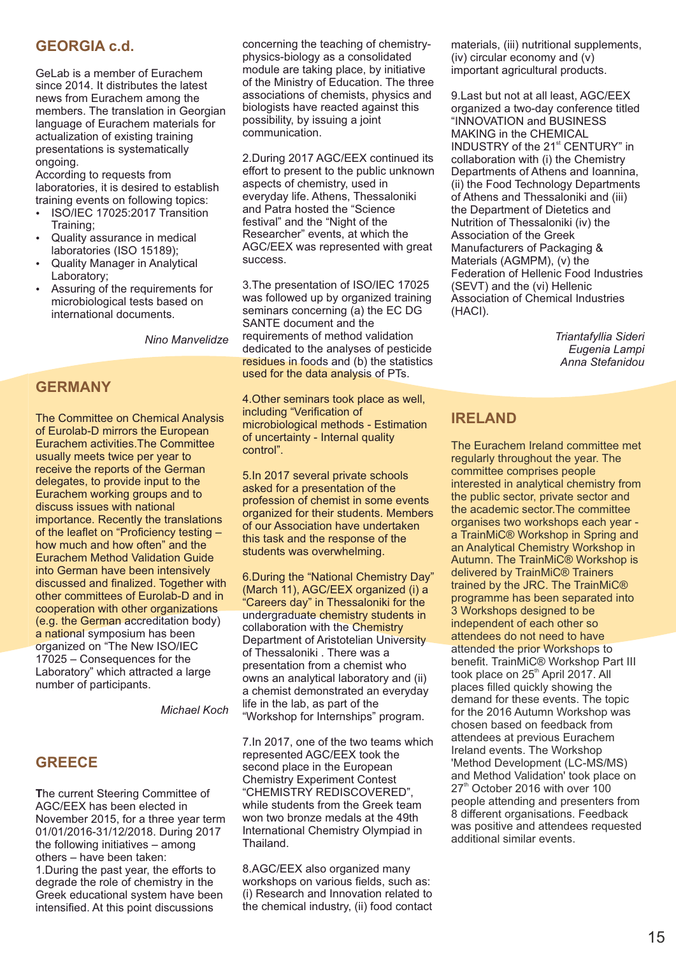## **GEORGIA c.d.**

GeLab is a member of Eurachem since 2014. It distributes the latest news from Eurachem among the members. The translation in Georgian language of Eurachem materials for actualization of existing training presentations is systematically ongoing.

According to requests from laboratories, it is desired to establish training events on following topics:

- ź ISO/IEC 17025:2017 Transition Training;
- Quality assurance in medical laboratories (ISO 15189);
- Quality Manager in Analytical Laboratory;
- Assuring of the requirements for microbiological tests based on international documents.

*Nino Manvelidze*

#### **GERMANY**

The Committee on Chemical Analysis of Eurolab-D mirrors the European Eurachem activities.The Committee usually meets twice per year to receive the reports of the German delegates, to provide input to the Eurachem working groups and to discuss issues with national importance. Recently the translations of the leaflet on "Proficiency testing – how much and how often" and the Eurachem Method Validation Guide into German have been intensively discussed and finalized. Together with other committees of Eurolab-D and in cooperation with other organizations (e.g. the German accreditation body) a national symposium has been organized on "The New ISO/IEC 17025 – Consequences for the Laboratory" which attracted a large number of participants.

*Michael Koch*

## **GREECE**

**T**he current Steering Committee of AGC/EEX has been elected in November 2015, for a three year term 01/01/2016-31/12/2018. During 2017 the following initiatives – among others – have been taken: 1.During the past year, the efforts to degrade the role of chemistry in the Greek educational system have been intensified. At this point discussions

concerning the teaching of chemistryphysics-biology as a consolidated module are taking place, by initiative of the Ministry of Education. The three associations of chemists, physics and biologists have reacted against this possibility, by issuing a joint communication.

2.During 2017 AGC/EEX continued its effort to present to the public unknown aspects of chemistry, used in everyday life. Athens, Thessaloniki and Patra hosted the "Science festival" and the "Night of the Researcher" events, at which the AGC/EEX was represented with great success.

3.Τhe presentation of ISO/IEC 17025 was followed up by organized training seminars concerning (a) the EC DG SANTE document and the requirements of method validation dedicated to the analyses of pesticide residues in foods and (b) the statistics used for the data analysis of PTs.

4.Other seminars took place as well, including "Verification of microbiological methods - Estimation of uncertainty - Internal quality control".

5.In 2017 several private schools asked for a presentation of the profession of chemist in some events organized for their students. Members of our Association have undertaken this task and the response of the students was overwhelming.

6.During the "National Chemistry Day" (March 11), AGC/EEX organized (i) a "Careers day" in Thessaloniki for the undergraduate chemistry students in collaboration with the Chemistry Department of Aristotelian University of Thessaloniki . There was a presentation from a chemist who owns an analytical laboratory and (ii) a chemist demonstrated an everyday life in the lab, as part of the "Workshop for Internships" program.

7.In 2017, one of the two teams which represented AGC/EEX took the second place in the European Chemistry Experiment Contest "CHEMISTRY REDISCOVERED", while students from the Greek team won two bronze medals at the 49th International Chemistry Olympiad in Thailand.

8.AGC/EEX also organized many workshops on various fields, such as: (i) Research and Innovation related to the chemical industry, (ii) food contact materials, (iii) nutritional supplements, (iv) circular economy and (v) important agricultural products.

9.Last but not at all least, AGC/EEX organized a two-day conference titled "INNOVATION and BUSINESS MAKING in the CHEMICAL INDUSTRY of the 21<sup>st</sup> CENTURY" in collaboration with (i) the Chemistry Departments of Athens and Ioannina, (ii) the Food Technology Departments of Athens and Thessaloniki and (iii) the Department of Dietetics and Nutrition of Thessaloniki (iv) the Association of the Greek Manufacturers of Packaging & Materials (AGMPM), (v) the Federation of Hellenic Food Industries (SEVT) and the (vi) Hellenic Association of Chemical Industries (HACI).

> *Triantafyllia Sideri Eugenia Lampi Anna Stefanidou*

## **IRELAND**

The Eurachem Ireland committee met regularly throughout the year. The committee comprises people interested in analytical chemistry from the public sector, private sector and the academic sector.The committee organises two workshops each year a TrainMiC® Workshop in Spring and an Analytical Chemistry Workshop in Autumn. The TrainMiC® Workshop is delivered by TrainMiC® Trainers trained by the JRC. The TrainMiC® programme has been separated into 3 Workshops designed to be independent of each other so attendees do not need to have attended the prior Workshops to benefit. TrainMiC® Workshop Part III took place on 25<sup>th</sup> April 2017. All places filled quickly showing the demand for these events. The topic for the 2016 Autumn Workshop was chosen based on feedback from attendees at previous Eurachem Ireland events. The Workshop 'Method Development (LC-MS/MS) and Method Validation' took place on 27<sup>th</sup> October 2016 with over 100 people attending and presenters from 8 different organisations. Feedback was positive and attendees requested additional similar events.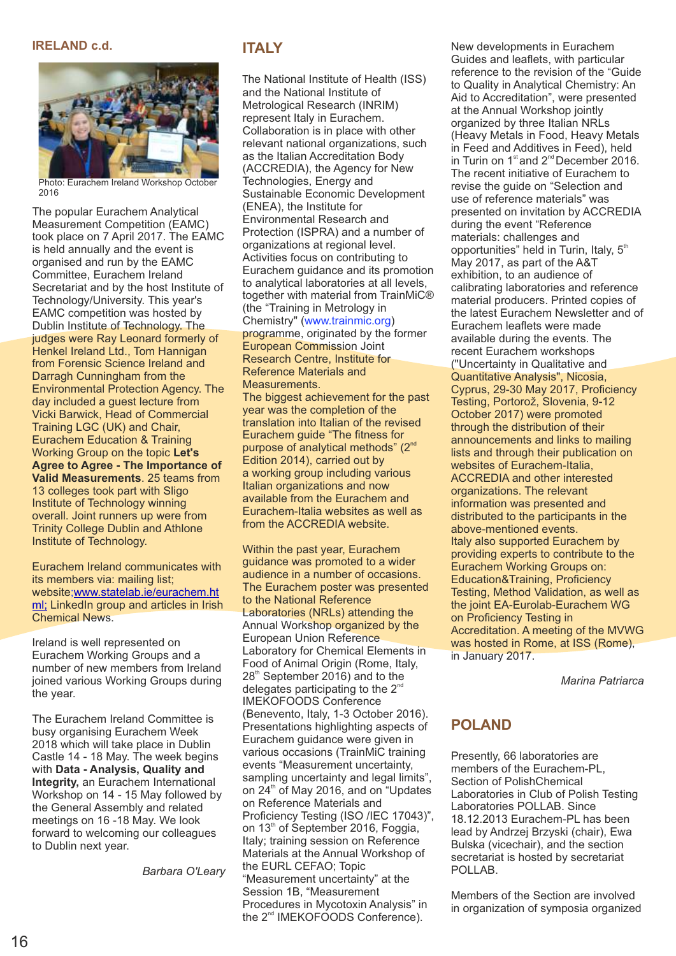#### **IRELAND c.d.**



Photo: Eurachem Ireland Workshop October 2016

The popular Eurachem Analytical Measurement Competition (EAMC) took place on 7 April 2017. The EAMC is held annually and the event is organised and run by the EAMC Committee, Eurachem Ireland Secretariat and by the host Institute of Technology/University. This year's EAMC competition was hosted by Dublin Institute of Technology. The judges were Ray Leonard formerly of Henkel Ireland Ltd., Tom Hannigan from Forensic Science Ireland and Darragh Cunningham from the Environmental Protection Agency. The day included a guest lecture from Vicki Barwick, Head of Commercial Training LGC (UK) and Chair, Eurachem Education & Training Working Group on the topic **Let's Agree to Agree - The Importance of Valid Measurements**. 25 teams from 13 colleges took part with Sligo Institute of Technology winning overall. Joint runners up were from Trinity College Dublin and Athlone Institute of Technology.

Eurachem Ireland communicates with its members via: mailing list; website;www.statelab.ie/eurachem.ht ml; LinkedIn group and articles in Irish Chemical News.

Ireland is well represented on Eurachem Working Groups and a number of new members from Ireland joined various Working Groups during the year.

The Eurachem Ireland Committee is busy organising Eurachem Week 2018 which will take place in Dublin Castle 14 - 18 May. The week begins with **Data - Analysis, Quality and Integrity,** an Eurachem International Workshop on 14 - 15 May followed by the General Assembly and related meetings on 16 -18 May. We look forward to welcoming our colleagues to Dublin next year.

*Barbara O'Leary*

### **ITALY**

The National Institute of Health (ISS) and the National Institute of Metrological Research (INRIM) represent Italy in Eurachem. Collaboration is in place with other relevant national organizations, such as the Italian Accreditation Body (ACCREDIA), the Agency for New Technologies, Energy and Sustainable Economic Development (ENEA), the Institute for Environmental Research and Protection (ISPRA) and a number of organizations at regional level. Activities focus on contributing to Eurachem guidance and its promotion to analytical laboratories at all levels, together with material from TrainMiC® (the "Training in Metrology in Chemistry" (www.trainmic.org) programme, originated by the former European Commission Joint Research Centre, Institute for Reference Materials and Measurements.

The biggest achievement for the past year was the completion of the translation into Italian of the revised Eurachem guide "The fitness for purpose of analytical methods" ( $2<sup>nd</sup>$ Edition 2014), carried out by a working group including various Italian organizations and now available from the Eurachem and Eurachem-Italia websites as well as from the ACCREDIA website.

Within the past year, Eurachem guidance was promoted to a wider audience in a number of occasions. The Eurachem poster was presented to the National Reference Laboratories (NRLs) attending the Annual Workshop organized by the European Union Reference Laboratory for Chemical Elements in Food of Animal Origin (Rome, Italy,  $28<sup>th</sup>$  September 2016) and to the delegates participating to the  $2^{\infty}$ IMEKOFOODS Conference (Benevento, Italy, 1-3 October 2016). Presentations highlighting aspects of Eurachem guidance were given in various occasions (TrainMiC training events "Measurement uncertainty, sampling uncertainty and legal limits". on 24<sup>th</sup> of May 2016, and on "Updates on Reference Materials and Proficiency Testing (ISO /IEC 17043)", on 13<sup>th</sup> of September 2016, Foggia, Italy; training session on Reference Materials at the Annual Workshop of the EURL CEFAO; Topic "Measurement uncertainty" at the Session 1B, "Measurement Procedures in Mycotoxin Analysis" in the 2<sup>nd</sup> IMEKOFOODS Conference).

New developments in Eurachem Guides and leaflets, with particular reference to the revision of the "Guide to Quality in Analytical Chemistry: An Aid to Accreditation", were presented at the Annual Workshop jointly organized by three Italian NRLs (Heavy Metals in Food, Heavy Metals in Feed and Additives in Feed), held in Turin on  $1<sup>st</sup>$  and  $2<sup>nd</sup>$  December 2016. The recent initiative of Eurachem to revise the guide on "Selection and use of reference materials" was presented on invitation by ACCREDIA during the event "Reference materials: challenges and opportunities" held in Turin, Italy,  $5<sup>th</sup>$ May 2017, as part of the A&T exhibition, to an audience of calibrating laboratories and reference material producers. Printed copies of the latest Eurachem Newsletter and of Eurachem leaflets were made available during the events. The recent Eurachem workshops ("Uncertainty in Qualitative and Quantitative Analysis", Nicosia, Cyprus, 29-30 May 2017, Proficiency Testing, Portorož, Slovenia, 9-12 October 2017) were promoted through the distribution of their announcements and links to mailing lists and through their publication on websites of Eurachem-Italia, ACCREDIA and other interested organizations. The relevant information was presented and distributed to the participants in the above-mentioned events. Italy also supported Eurachem by providing experts to contribute to the Eurachem Working Groups on: Education&Training, Proficiency Testing, Method Validation, as well as the joint EA-Eurolab-Eurachem WG on Proficiency Testing in Accreditation. A meeting of the MVWG was hosted in Rome, at ISS (Rome), in January 2017.

*Marina Patriarca*

# **POLAND**

Presently, 66 laboratories are members of the Eurachem-PL, Section of PolishChemical Laboratories in Club of Polish Testing Laboratories POLLAB. Since 18.12.2013 Eurachem-PL has been lead by Andrzej Brzyski (chair), Ewa Bulska (vicechair), and th[e section](http://analitica.org.ru/)  secretariat is hosted by secretariat POLLAB.

Members of the Section are involved in organization of symposia organized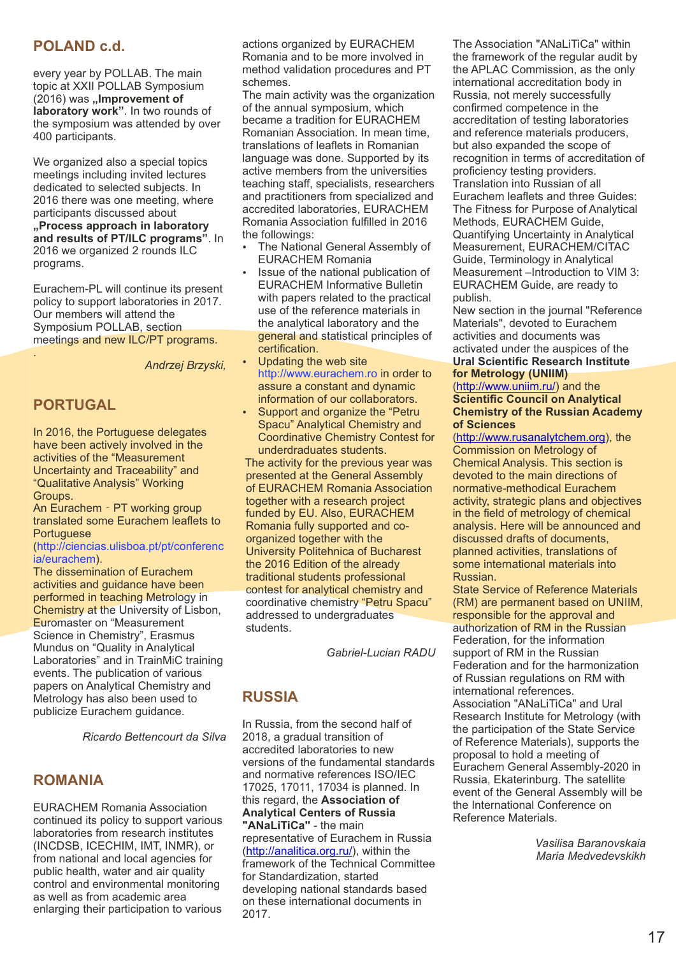## **POLAND c.d.**

every year by POLLAB. The main topic at XXII POLLAB Symposium (2016) was "Improvement of **laboratory work"**. In two rounds of the symposium was attended by over 400 participants.

We organized also a special topics meetings including invited lectures dedicated to selected subjects. In 2016 there was one meeting, where participants discussed about **"Process approach in laboratory and results of PT/ILC programs"**. In 2016 we organized 2 rounds ILC programs.

Eurachem-PL will continue its present policy to support laboratories in 2017. Our members will attend the Symposium POLLAB, section meetings and new ILC/PT programs.

*Andrzej Brzyski,*

## **PORTUGAL**

.

In 2016, the Portuguese delegates have been actively involved in the activities of the "Measurement Uncertainty and Traceability" and "Qualitative Analysis" Working Groups.

An Eurachem - PT working group translated some Eurachem leaflets to Portuguese

#### (http://ciencias.ulisboa.pt/pt/conferenc ia/eurachem).

The dissemination of Eurachem activities and guidance have been performed in teaching Metrology in Chemistry at the University of Lisbon, Euromaster on "Measurement Science in Chemistry", Erasmus Mundus on "Quality in Analytical Laboratories" and in TrainMiC training events. The publication of various papers on Analytical Chemistry and Metrology has also been used to publicize Eurachem guidance.

*Ricardo Bettencourt da Silva* 

#### **ROMANIA**

EURACHEM Romania Association continued its policy to support various laboratories from research institutes (INCDSB, ICECHIM, IMT, INMR), or from national and local agencies for public health, water and air quality control and environmental monitoring as well as from academic area enlarging their participation to various

actions organized by EURACHEM Romania and to be more involved in method validation procedures and PT schemes.

The main activity was the organization of the annual symposium, which became a tradition for EURACHEM Romanian Association. In mean time, translations of leaflets in Romanian language was done. Supported by its active members from the universities teaching staff, specialists, researchers and practitioners from specialized and accredited laboratories, EURACHEM Romania Association fulfilled in 2016 the followings:

- The National General Assembly of EURACHEM Romania
- Issue of the national publication of EURACHEM Informative Bulletin with papers related to the practical use of the reference materials in the analytical laboratory and the general and statistical principles of certification.
- Updating the web site http://www.eurachem.ro in order to assure a constant and dynamic information of our collaborators.
- Support and organize the "Petru Spacu" Analytical Chemistry and Coordinative Chemistry Contest for underdraduates students.

The activity for the previous year was presented at the General Assembly of EURACHEM Romania Association together with a research project funded by EU. Also, EURACHEM Romania fully supported and coorganized together with the University Politehnica of Bucharest the 2016 Edition of the already traditional students professional contest for analytical chemistry and coordinative chemistry "Petru Spacu" addressed to undergraduates students.

*Gabriel-Lucian RADU*

## **RUSSIA**

In Russia, from the second half of 2018, a gradual transition of accredited laboratories to new versions of the fundamental standards and normative references ISO/IEC 17025, 17011, 17034 is planned. In this regard, the **Association of Analytical Centers of Russia "ANaLiTiCa"** - the main representative of Eurachem in Russia (http://analitica.org.ru/), within the framework of the Technical Committee for Standardization, started developing national standards based on these international documents in 2017.

The Association "ANaLiTiCa" within the framework of the regular audit by the APLAC Commission, as the only international accreditation body in Russia, not merely successfully confirmed competence in the accreditation of testing laboratories and reference materials producers, but also expanded the scope of recognition in terms of accreditation of proficiency testing providers. Translation into Russian of all Eurachem leaflets and three Guides: The Fitness for Purpose of Analytical Methods, EURACHEM Guide, Quantifying Uncertainty in Analytical Measurement, EURACHEM/CITAC Guide, Terminology in Analytical Measurement –Introduction to VIM 3: EURACHEM Guide, are ready to publish.

New section in the journal "Reference Materials", devoted to Eurachem activities and documents was activated under the auspices of the **Ural Scientific Research Institute** 

# **for Metrology (UNIIM)**

(http://www.uniim.ru/) and the **Scientific Council on Analytical Chemistry of the Russian Academy of Sciences** 

(http://www.rusanalytchem.org), the Commission on Metrology of Chemical Analysis. This section is devoted to the main directions of normative-methodical Eurachem activity, strategic plans and objectives in the field of metrology of chemical analysis. Here will be announced and discussed drafts of documents, planned activities, translations of some international materials into Russian.

State Service of Reference Materials (RM) are permanent based on UNIIM, responsible for the approval and authorization of RM in the Russian Federation, for the information support of RM in the Russian Federation and for the harmonization of Russian regulations on RM with international references. Association "ANaLiTiCa" and Ural Research Institute for Metrology (with the participation of the State Service of Reference Materials), supports the proposal to hold a meeting of Eurachem General Assembly-2020 in Russia, Ekaterinburg. The satellite event of the General Assembly will be the International Conference on Reference Materials.

> *Vasilisa [Baranovskaia](http://analitica.org.ru/) Maria Medvedevskikh*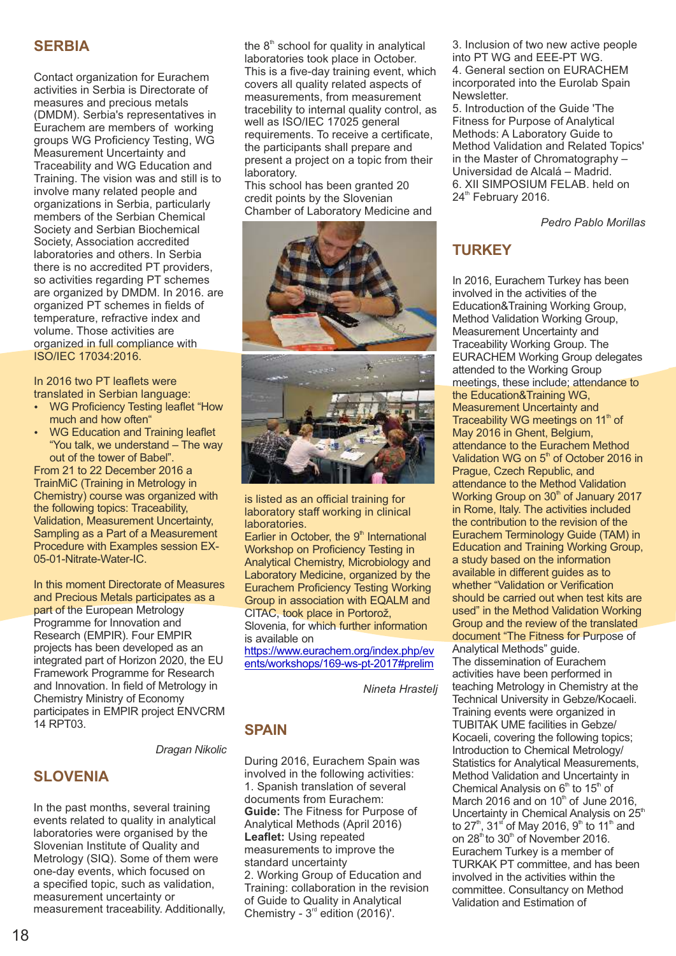## **SERBIA**

Contact organization for Eurachem activities in Serbia is Directorate of measures and precious metals (DMDM). Serbia's representatives in Eurachem are members of working groups WG Proficiency Testing, WG Measurement Uncertainty and Traceability and WG Education and Training. The vision was and still is to involve many related people and organizations in Serbia, particularly members of the Serbian Chemical Society and Serbian Biochemical Society, Association accredited laboratories and others. In Serbia there is no accredited PT providers, so activities regarding PT schemes are organized by DMDM. In 2016. are organized PT schemes in fields of temperature, refractive index and volume. Those activities are organized in full compliance with ISO/IEC 17034:2016.

In 2016 two PT leaflets were translated in Serbian language:

- WG Proficiency Testing leaflet "How much and how often"
- WG Education and Training leaflet "You talk, we understand – The way out of the tower of Babel".

From 21 to 22 December 2016 a TrainMiC (Training in Metrology in Chemistry) course was organized with the following topics: Traceability, Validation, Measurement Uncertainty, Sampling as a Part of a Measurement Procedure with Examples session EX-05-01-Nitrate-Water-IC.

In this moment Directorate of Measures and Precious Metals participates as a part of the European Metrology Programme for Innovation and Research (EMPIR). Four EMPIR [projects has](https://www.eurachem.org/index.php/events/workshops/169-ws-pt-2017) been developed as an [integrated pa](https://www.eurachem.org/index.php/events/workshops/169-ws-pt-2017)rt of Horizon 2020, the EU Framework Programme for Research and Innovation. In field of Metrology in Chemistry Ministry of Economy participates in EMPIR project ENVCRM 14 RPT03.

*Dragan Nikolic*

# **SLOVENIA**

In the past months, several training events related to quality in analytical laboratories were organised by the Slovenian Institute of Quality and Metrology (SIQ). Some of them were one-day events, which focused on a specified topic, such as validation, measurement uncertainty or measurement traceability. Additionally, the  $8<sup>th</sup>$  school for quality in analytical laboratories took place in October. This is a five-day training event, which covers all quality related aspects of measurements, from measurement tracebility to internal quality control, as well as ISO/IEC 17025 general requirements. To receive a certificate, the participants shall prepare and present a project on a topic from their laboratory.

This school has been granted 20 credit points by the Slovenian Chamber of Laboratory Medicine and



is listed as an official training for laboratory staff working in clinical laboratories.

Earlier in October, the 9<sup>th</sup> International Workshop on Proficiency Testing in Analytical Chemistry, Microbiology and Laboratory Medicine, organized by the Eurachem Proficiency Testing Working Group in association with EQALM and CITAC, took place in Portorož, Slovenia, for which further information

is available on

https://www.eurachem.org/index.php/ev ents/workshops/169-ws-pt-2017#prelim

*Nineta Hrastelj*

## **SPAIN**

During 2016, Eurachem Spain was involved in the following activities: 1. Spanish translation of several documents from Eurachem: **Guide:** The Fitness for Purpose of Analytical Methods (April 2016) **Leaflet:** Using repeated measurements to improve the standard uncertainty 2. Working Group of Education and Training: collaboration in the revision of Guide to Quality in Analytical Chemistry -  $3<sup>rd</sup>$  edition (2016)'.

3. Inclusion of two new active people into PT WG and EEE-PT WG. 4. General section on EURACHEM incorporated into the Eurolab Spain **Newsletter** 

5. Introduction of the Guide 'The Fitness for Purpose of Analytical Methods: A Laboratory Guide to Method Validation and Related Topics' in the Master of Chromatography – Universidad de Alcalá – Madrid. 6. XII SIMPOSIUM FELAB. held on  $24<sup>th</sup>$  February 2016.

*Pedro Pablo Morillas*

# **TURKEY**

In 2016, Eurachem Turkey has been involved in the activities of the Education&Training Working Group, Method Validation Working Group, Measurement Uncertainty and Traceability Working Group. The EURACHEM Working Group delegates attended to the Working Group meetings, these include; attendance to the Education&Training WG, Measurement Uncertainty and Traceability WG meetings on 11<sup>th</sup> of May 2016 in Ghent, Belgium, attendance to the Eurachem Method Validation WG on  $5<sup>th</sup>$  of October 2016 in Prague, Czech Republic, and attendance to the Method Validation Working Group on  $30<sup>th</sup>$  of January 2017 in Rome, Italy. The activities included the contribution to the revision of the Eurachem Terminology Guide (TAM) in Education and Training Working Group, a study based on the information available in different guides as to whether "Validation or Verification should be carried out when test kits are used" in the Method Validation Working Group and the review of the translated document "The Fitness for Purpose of Analytical Methods" guide. The dissemination of Eurachem activities have been performed in teaching Metrology in Chemistry at the Technical University in Gebze/Kocaeli. Training events were organized in TUBITAK UME facilities in Gebze/

Kocaeli, covering the following topics; Introduction to Chemical Metrology/ Statistics for Analytical Measurements, Method Validation and Uncertainty in Chemical Analysis on  $6<sup>th</sup>$  to  $15<sup>th</sup>$  of March 2016 and on  $10<sup>th</sup>$  of June 2016, Uncertainty in Chemical Analysis on 25<sup>th</sup> to 27<sup>th</sup>, 31<sup>st</sup> of May 2016, 9<sup>th</sup> to 11<sup>th</sup> and on  $28<sup>th</sup>$  to  $30<sup>th</sup>$  of November 2016. Eurachem Turkey is a member of TURKAK PT committee, and has been involved in the activities within the committee. Consultancy on Method Validation and Estimation of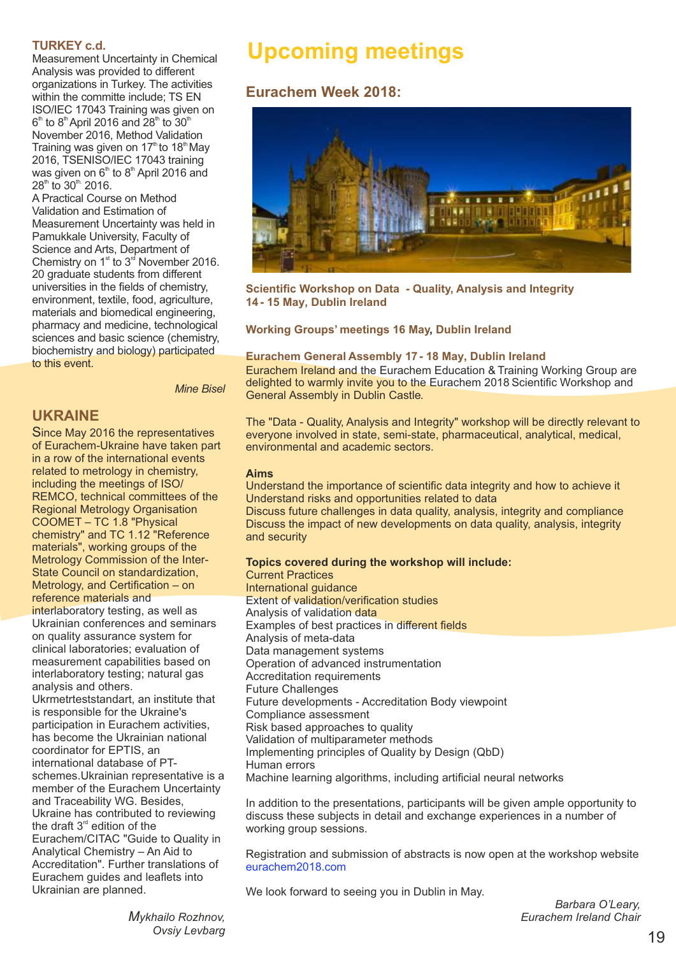#### **TURKEY c.d.**

Measurement Uncertainty in Chemical Analysis was provided to different organizations in Turkey. The activities within the committe include; TS EN ISO/IEC 17043 Training was given on  $6^{\text{\tiny th}}$  to  $8^{\text{\tiny th}}$ April 2016 and 28 $^{\text{\tiny th}}$  to 30 $^{\text{\tiny th}}$ November 2016, Method Validation Training was given on  $17<sup>th</sup>$  to  $18<sup>th</sup>$  May 2016, TSENISO/IEC 17043 training was given on  $6<sup>th</sup>$  to  $8<sup>th</sup>$  April 2016 and  $28^{\text{th}}$  to  $30^{\text{th}}$  2016.

A Practical Course on Method Validation and Estimation of Measurement Uncertainty was held in Pamukkale University, Faculty of Science and Arts, Department of Chemistry on  $1<sup>st</sup>$  to  $3<sup>rd</sup>$  November 2016. 20 graduate students from different universities in the fields of chemistry, environment, textile, food, agriculture, materials and biomedical engineering, pharmacy and medicine, technological sciences and basic science (chemistry, biochemistry and biology) participated to this event.

*Mine Bisel*

## **UKRAINE**

Since May 2016 the representatives of Eurachem-Ukraine have taken part in a row of the international events related to metrology in chemistry, including the meetings of ISO/ REMCO, technical committees of the Regional Metrology Organisation COOMET – TC 1.8 "Physical chemistry" and TC 1.12 "Reference materials", working groups of the Metrology Commission of the Inter-State Council on standardization, Metrology, and Certification – on reference materials and interlaboratory testing, as well as Ukrainian conferences and seminars on quality assurance system for [clinical labora](https://www.eurachem.org/index.php/events/workshops/169-ws-pt-2017)tories; evaluation of [measuremen](https://www.eurachem.org/index.php/events/workshops/169-ws-pt-2017)t capabilities based on interlaboratory testing; natural gas analysis and others. Ukrmetrteststandart, an institute that is responsible for the Ukraine's participation in Eurachem activities, has become the Ukrainian national coordinator for EPTIS, an international database of PTschemes.Ukrainian representative is a member of the Eurachem Uncertainty and Traceability WG. Besides, Ukraine has contributed to reviewing the draft  $3<sup>rd</sup>$  edition of the Eurachem/CITAC "Guide to Quality in

Analytical Chemistry – An Aid to Accreditation". Further translations of Eurachem guides and leaflets into Ukrainian are planned.

# **Upcoming meetings**

# **Eurachem Week 2018:**



**Scientific Workshop on Data - Quality, Analysis and Integrity 14- 15 May, Dublin Ireland**

#### **Working Groups' meetings 16 May, Dublin Ireland**

#### **Eurachem General Assembly 17- 18 May, Dublin Ireland**

Eurachem Ireland and the Eurachem Education & Training Working Group are delighted to warmly invite you to the Eurachem 2018 Scientific Workshop and General Assembly in Dublin Castle.

The "Data - Quality, Analysis and Integrity" workshop will be directly relevant to everyone involved in state, semi-state, pharmaceutical, analytical, medical, environmental and academic sectors.

#### **Aims**

Understand the importance of scientific data integrity and how to achieve it Understand risks and opportunities related to data

Discuss future challenges in data quality, analysis, integrity and compliance Discuss the impact of new developments on data quality, analysis, integrity and security

#### **Topics covered during the workshop will include:**

Current Practices International guidance Extent of validation/verification studies Analysis of validation data Examples of best practices in different fields Analysis of meta-data Data management systems Operation of advanced instrumentation Accreditation requirements Future Challenges Future developments - Accreditation Body viewpoint Compliance assessment Risk based approaches to quality Validation of multiparameter methods Implementing principles of Quality by Design (QbD) Human errors Machine learning algorithms, including artificial neural networks

In addition to the presentations, participants will be given ample opportunity to discuss these subjects in detail and exchange experiences in a number of working group sessions.

Registration and submission of abstracts is now open at the workshop website eurachem2018.com

We look forward to seeing you in Dublin in May.

*Barbara O'Leary, Eurachem Ireland Chair*